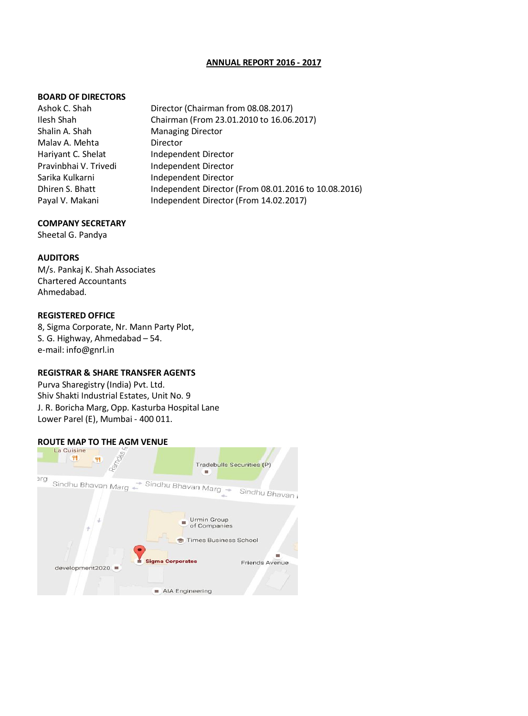### **ANNUAL REPORT 2016 - 2017**

### **BOARD OF DIRECTORS**

Ashok C. Shah Director (Chairman from 08.08.2017) Ilesh Shah Chairman (From 23.01.2010 to 16.06.2017) Shalin A. Shah Managing Director Malay A. Mehta **Director** Hariyant C. Shelat Independent Director Pravinbhai V. Trivedi Independent Director Sarika Kulkarni **Independent Director**<br> **Independent Director**<br> **Independent Director** Independent Director (From 08.01.2016 to 10.08.2016) Payal V. Makani Independent Director (From 14.02.2017)

### **COMPANY SECRETARY**

Sheetal G. Pandya

### **AUDITORS**

M/s. Pankaj K. Shah Associates Chartered Accountants Ahmedabad.

### **REGISTERED OFFICE**

8, Sigma Corporate, Nr. Mann Party Plot, S. G. Highway, Ahmedabad – 54. e-mail: info@gnrl.in

### **REGISTRAR & SHARE TRANSFER AGENTS**

Purva Sharegistry (India) Pvt. Ltd. Shiv Shakti Industrial Estates, Unit No. 9 J. R. Boricha Marg, Opp. Kasturba Hospital Lane Lower Parel (E), Mumbai - 400 011.

# **ROUTE MAP TO THE AGM VENUE**

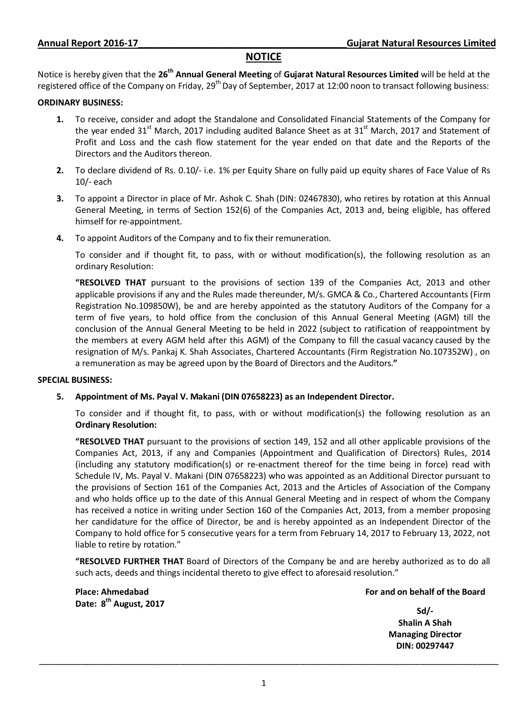## **NOTICE**

Notice is hereby given that the **26th Annual General Meeting** of **Gujarat Natural Resources Limited** will be held at the registered office of the Company on Friday, 29<sup>th</sup> Day of September, 2017 at 12:00 noon to transact following business:

### **ORDINARY BUSINESS:**

- **1.** To receive, consider and adopt the Standalone and Consolidated Financial Statements of the Company for the year ended 31<sup>st</sup> March, 2017 including audited Balance Sheet as at 31<sup>st</sup> March, 2017 and Statement of Profit and Loss and the cash flow statement for the year ended on that date and the Reports of the Directors and the Auditors thereon.
- **2.** To declare dividend of Rs. 0.10/- i.e. 1% per Equity Share on fully paid up equity shares of Face Value of Rs 10/- each
- **3.** To appoint a Director in place of Mr. Ashok C. Shah (DIN: 02467830), who retires by rotation at this Annual General Meeting, in terms of Section 152(6) of the Companies Act, 2013 and, being eligible, has offered himself for re-appointment.
- **4.** To appoint Auditors of the Company and to fix their remuneration.

To consider and if thought fit, to pass, with or without modification(s), the following resolution as an ordinary Resolution:

**"RESOLVED THAT** pursuant to the provisions of section 139 of the Companies Act, 2013 and other applicable provisions if any and the Rules made thereunder, M/s. GMCA & Co., Chartered Accountants (Firm Registration No.109850W), be and are hereby appointed as the statutory Auditors of the Company for a term of five years, to hold office from the conclusion of this Annual General Meeting (AGM) till the conclusion of the Annual General Meeting to be held in 2022 (subject to ratification of reappointment by the members at every AGM held after this AGM) of the Company to fill the casual vacancy caused by the resignation of M/s. Pankaj K. Shah Associates, Chartered Accountants (Firm Registration No.107352W) , on a remuneration as may be agreed upon by the Board of Directors and the Auditors.**"** 

### **SPECIAL BUSINESS:**

### **5. Appointment of Ms. Payal V. Makani (DIN 07658223) as an Independent Director.**

To consider and if thought fit, to pass, with or without modification(s) the following resolution as an **Ordinary Resolution:**

**"RESOLVED THAT** pursuant to the provisions of section 149, 152 and all other applicable provisions of the Companies Act, 2013, if any and Companies (Appointment and Qualification of Directors) Rules, 2014 (including any statutory modification(s) or re-enactment thereof for the time being in force) read with Schedule IV, Ms. Payal V. Makani (DIN 07658223) who was appointed as an Additional Director pursuant to the provisions of Section 161 of the Companies Act, 2013 and the Articles of Association of the Company and who holds office up to the date of this Annual General Meeting and in respect of whom the Company has received a notice in writing under Section 160 of the Companies Act, 2013, from a member proposing her candidature for the office of Director, be and is hereby appointed as an Independent Director of the Company to hold office for 5 consecutive years for a term from February 14, 2017 to February 13, 2022, not liable to retire by rotation."

**"RESOLVED FURTHER THAT** Board of Directors of the Company be and are hereby authorized as to do all such acts, deeds and things incidental thereto to give effect to aforesaid resolution."

**Place: Ahmedabad Date: 8th August, 2017**

### **For and on behalf of the Board**

**Sd/- Shalin A Shah Managing Director DIN: 00297447**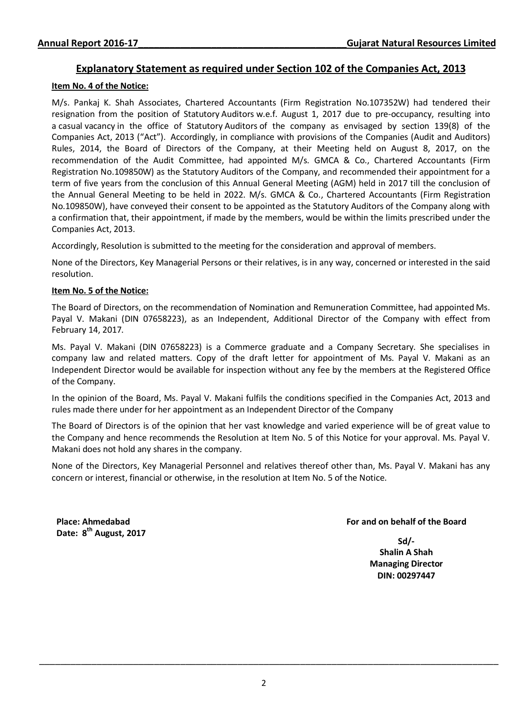## **Explanatory Statement as required under Section 102 of the Companies Act, 2013**

### **Item No. 4 of the Notice:**

M/s. Pankaj K. Shah Associates, Chartered Accountants (Firm Registration No.107352W) had tendered their resignation from the position of Statutory Auditors w.e.f. August 1, 2017 due to pre-occupancy, resulting into a casual vacancy in the office of Statutory Auditors of the company as envisaged by section 139(8) of the Companies Act, 2013 ("Act"). Accordingly, in compliance with provisions of the Companies (Audit and Auditors) Rules, 2014, the Board of Directors of the Company, at their Meeting held on August 8, 2017, on the recommendation of the Audit Committee, had appointed M/s. GMCA & Co., Chartered Accountants (Firm Registration No.109850W) as the Statutory Auditors of the Company, and recommended their appointment for a term of five years from the conclusion of this Annual General Meeting (AGM) held in 2017 till the conclusion of the Annual General Meeting to be held in 2022. M/s. GMCA & Co., Chartered Accountants (Firm Registration No.109850W), have conveyed their consent to be appointed as the Statutory Auditors of the Company along with a confirmation that, their appointment, if made by the members, would be within the limits prescribed under the Companies Act, 2013.

Accordingly, Resolution is submitted to the meeting for the consideration and approval of members.

None of the Directors, Key Managerial Persons or their relatives, is in any way, concerned or interested in the said resolution.

### **Item No. 5 of the Notice:**

The Board of Directors, on the recommendation of Nomination and Remuneration Committee, had appointed Ms. Payal V. Makani (DIN 07658223), as an Independent, Additional Director of the Company with effect from February 14, 2017.

Ms. Payal V. Makani (DIN 07658223) is a Commerce graduate and a Company Secretary. She specialises in company law and related matters. Copy of the draft letter for appointment of Ms. Payal V. Makani as an Independent Director would be available for inspection without any fee by the members at the Registered Office of the Company.

In the opinion of the Board, Ms. Payal V. Makani fulfils the conditions specified in the Companies Act, 2013 and rules made there under for her appointment as an Independent Director of the Company

The Board of Directors is of the opinion that her vast knowledge and varied experience will be of great value to the Company and hence recommends the Resolution at Item No. 5 of this Notice for your approval. Ms. Payal V. Makani does not hold any shares in the company.

None of the Directors, Key Managerial Personnel and relatives thereof other than, Ms. Payal V. Makani has any concern or interest, financial or otherwise, in the resolution at Item No. 5 of the Notice.

**Place: Ahmedabad Date: 8th August, 2017**

### **For and on behalf of the Board**

**Sd/- Shalin A Shah Managing Director DIN: 00297447**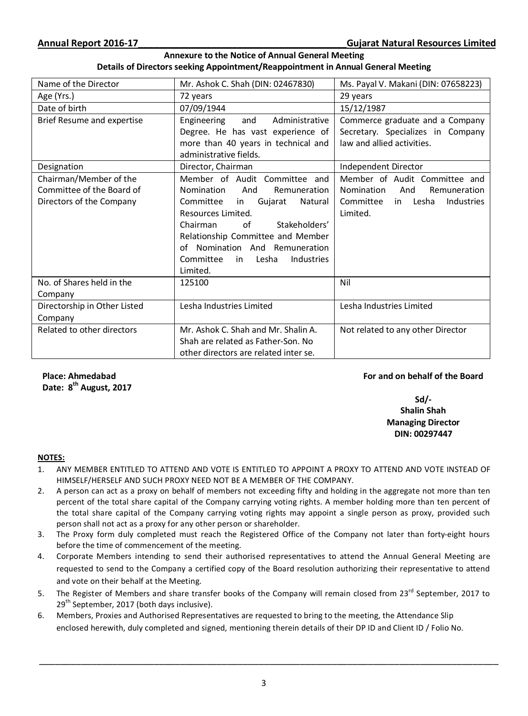### **Annexure to the Notice of Annual General Meeting Details of Directors seeking Appointment/Reappointment in Annual General Meeting**

| Name of the Director         | Mr. Ashok C. Shah (DIN: 02467830)             | Ms. Payal V. Makani (DIN: 07658223)        |
|------------------------------|-----------------------------------------------|--------------------------------------------|
| Age (Yrs.)                   | 72 years                                      | 29 years                                   |
| Date of birth                | 07/09/1944                                    | 15/12/1987                                 |
| Brief Resume and expertise   | Engineering<br>and<br>Administrative          | Commerce graduate and a Company            |
|                              | Degree. He has vast experience of             | Secretary. Specializes in Company          |
|                              | more than 40 years in technical and           | law and allied activities.                 |
|                              | administrative fields.                        |                                            |
| Designation                  | Director, Chairman                            | Independent Director                       |
| Chairman/Member of the       | Member of Audit Committee and                 | Member of Audit Committee and              |
| Committee of the Board of    | Nomination<br>And<br>Remuneration             | Nomination<br>And<br>Remuneration          |
| Directors of the Company     | Committee<br>Gujarat<br>in<br>Natural         | Committee<br>in Lesha<br><b>Industries</b> |
|                              | Resources Limited.                            | Limited.                                   |
|                              | of<br>Stakeholders'<br>Chairman               |                                            |
|                              | Relationship Committee and Member             |                                            |
|                              | of Nomination And Remuneration                |                                            |
|                              | Committee<br>Lesha<br><b>Industries</b><br>in |                                            |
|                              | Limited.                                      |                                            |
| No. of Shares held in the    | 125100                                        | Nil                                        |
| Company                      |                                               |                                            |
| Directorship in Other Listed | Lesha Industries Limited                      | Lesha Industries Limited                   |
| Company                      |                                               |                                            |
| Related to other directors   | Mr. Ashok C. Shah and Mr. Shalin A.           | Not related to any other Director          |
|                              | Shah are related as Father-Son. No            |                                            |
|                              | other directors are related inter se.         |                                            |

**Place: Ahmedabad Date: 8th August, 2017**

## **For and on behalf of the Board**

## **Sd/- Shalin Shah Managing Director DIN: 00297447**

### **NOTES:**

- 1. ANY MEMBER ENTITLED TO ATTEND AND VOTE IS ENTITLED TO APPOINT A PROXY TO ATTEND AND VOTE INSTEAD OF HIMSELF/HERSELF AND SUCH PROXY NEED NOT BE A MEMBER OF THE COMPANY.
- 2. A person can act as a proxy on behalf of members not exceeding fifty and holding in the aggregate not more than ten percent of the total share capital of the Company carrying voting rights. A member holding more than ten percent of the total share capital of the Company carrying voting rights may appoint a single person as proxy, provided such person shall not act as a proxy for any other person or shareholder.
- 3. The Proxy form duly completed must reach the Registered Office of the Company not later than forty-eight hours before the time of commencement of the meeting.
- 4. Corporate Members intending to send their authorised representatives to attend the Annual General Meeting are requested to send to the Company a certified copy of the Board resolution authorizing their representative to attend and vote on their behalf at the Meeting.
- 5. The Register of Members and share transfer books of the Company will remain closed from 23<sup>rd</sup> September, 2017 to 29<sup>th</sup> September, 2017 (both days inclusive).
- 6. Members, Proxies and Authorised Representatives are requested to bring to the meeting, the Attendance Slip enclosed herewith, duly completed and signed, mentioning therein details of their DP ID and Client ID / Folio No.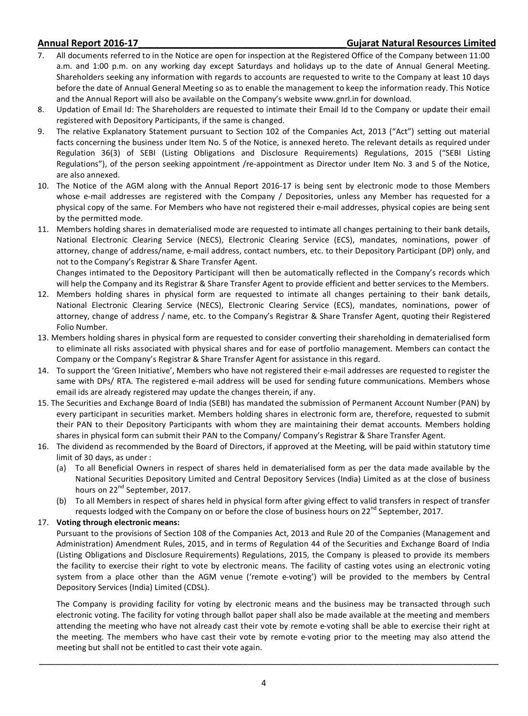### **Annual Report 2016-17\_\_\_\_\_\_\_\_\_\_\_\_\_\_\_\_\_\_\_\_\_\_\_\_\_\_\_\_\_\_\_\_\_\_\_\_\_\_\_\_Gujarat Natural Resources Limited**

- 7. All documents referred to in the Notice are open for inspection at the Registered Office of the Company between 11:00 a.m. and 1:00 p.m. on any working day except Saturdays and holidays up to the date of Annual General Meeting. Shareholders seeking any information with regards to accounts are requested to write to the Company at least 10 days before the date of Annual General Meeting so as to enable the management to keep the information ready. This Notice and the Annual Report will also be available on the Company's website www.gnrl.in for download.
- 8. Updation of Email Id: The Shareholders are requested to intimate their Email Id to the Company or update their email registered with Depository Participants, if the same is changed.
- 9. The relative Explanatory Statement pursuant to Section 102 of the Companies Act, 2013 ("Act") setting out material facts concerning the business under Item No. 5 of the Notice, is annexed hereto. The relevant details as required under Regulation 36(3) of SEBI (Listing Obligations and Disclosure Requirements) Regulations, 2015 ("SEBI Listing Regulations"), of the person seeking appointment /re-appointment as Director under Item No. 3 and 5 of the Notice, are also annexed.
- 10. The Notice of the AGM along with the Annual Report 2016-17 is being sent by electronic mode to those Members whose e-mail addresses are registered with the Company / Depositories, unless any Member has requested for a physical copy of the same. For Members who have not registered their e-mail addresses, physical copies are being sent by the permitted mode.
- 11. Members holding shares in dematerialised mode are requested to intimate all changes pertaining to their bank details, National Electronic Clearing Service (NECS), Electronic Clearing Service (ECS), mandates, nominations, power of attorney, change of address/name, e-mail address, contact numbers, etc. to their Depository Participant (DP) only, and not to the Company's Registrar & Share Transfer Agent.

Changes intimated to the Depository Participant will then be automatically reflected in the Company's records which will help the Company and its Registrar & Share Transfer Agent to provide efficient and better services to the Members.

- 12. Members holding shares in physical form are requested to intimate all changes pertaining to their bank details, National Electronic Clearing Service (NECS), Electronic Clearing Service (ECS), mandates, nominations, power of attorney, change of address / name, etc. to the Company's Registrar & Share Transfer Agent, quoting their Registered Folio Number.
- 13. Members holding shares in physical form are requested to consider converting their shareholding in dematerialised form to eliminate all risks associated with physical shares and for ease of portfolio management. Members can contact the Company or the Company's Registrar & Share Transfer Agent for assistance in this regard.
- 14. To support the 'Green Initiative', Members who have not registered their e-mail addresses are requested to register the same with DPs/ RTA. The registered e-mail address will be used for sending future communications. Members whose email ids are already registered may update the changes therein, if any.
- 15. The Securities and Exchange Board of India (SEBI) has mandated the submission of Permanent Account Number (PAN) by every participant in securities market. Members holding shares in electronic form are, therefore, requested to submit their PAN to their Depository Participants with whom they are maintaining their demat accounts. Members holding shares in physical form can submit their PAN to the Company/ Company's Registrar & Share Transfer Agent.
- 16. The dividend as recommended by the Board of Directors, if approved at the Meeting, will be paid within statutory time limit of 30 days, as under :
	- (a) To all Beneficial Owners in respect of shares held in dematerialised form as per the data made available by the National Securities Depository Limited and Central Depository Services (India) Limited as at the close of business hours on 22<sup>nd</sup> September, 2017.
	- (b) To all Members in respect of shares held in physical form after giving effect to valid transfers in respect of transfer requests lodged with the Company on or before the close of business hours on 22<sup>nd</sup> September, 2017.

### 17. **Voting through electronic means:**

Pursuant to the provisions of Section 108 of the Companies Act, 2013 and Rule 20 of the Companies (Management and Administration) Amendment Rules, 2015, and in terms of Regulation 44 of the Securities and Exchange Board of India (Listing Obligations and Disclosure Requirements) Regulations, 2015, the Company is pleased to provide its members the facility to exercise their right to vote by electronic means. The facility of casting votes using an electronic voting system from a place other than the AGM venue ('remote e-voting') will be provided to the members by Central Depository Services (India) Limited (CDSL).

The Company is providing facility for voting by electronic means and the business may be transacted through such electronic voting. The facility for voting through ballot paper shall also be made available at the meeting and members attending the meeting who have not already cast their vote by remote e-voting shall be able to exercise their right at the meeting. The members who have cast their vote by remote e-voting prior to the meeting may also attend the meeting but shall not be entitled to cast their vote again.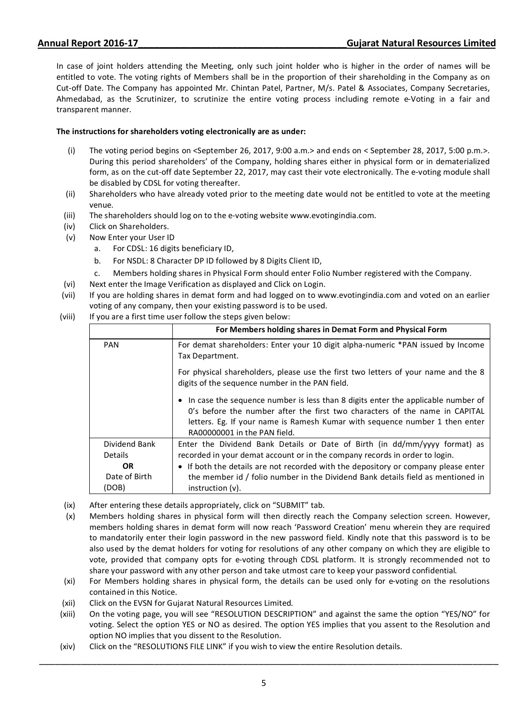In case of joint holders attending the Meeting, only such joint holder who is higher in the order of names will be entitled to vote. The voting rights of Members shall be in the proportion of their shareholding in the Company as on Cut-off Date. The Company has appointed Mr. Chintan Patel, Partner, M/s. Patel & Associates, Company Secretaries, Ahmedabad, as the Scrutinizer, to scrutinize the entire voting process including remote e-Voting in a fair and transparent manner.

### **The instructions for shareholders voting electronically are as under:**

- (i) The voting period begins on <September 26, 2017, 9:00 a.m.> and ends on < September 28, 2017, 5:00 p.m.>. During this period shareholders' of the Company, holding shares either in physical form or in dematerialized form, as on the cut-off date September 22, 2017, may cast their vote electronically. The e-voting module shall be disabled by CDSL for voting thereafter.
- (ii) Shareholders who have already voted prior to the meeting date would not be entitled to vote at the meeting venue.
- (iii) The shareholders should log on to the e-voting website www.evotingindia.com.
- (iv) Click on Shareholders.
- (v) Now Enter your User ID
	- a. For CDSL: 16 digits beneficiary ID,
	- b. For NSDL: 8 Character DP ID followed by 8 Digits Client ID,
	- c. Members holding shares in Physical Form should enter Folio Number registered with the Company.
- (vi) Next enter the Image Verification as displayed and Click on Login.
- (vii) If you are holding shares in demat form and had logged on to www.evotingindia.com and voted on an earlier voting of any company, then your existing password is to be used.
- (viii) If you are a first time user follow the steps given below:

|                                 | For Members holding shares in Demat Form and Physical Form                                                                                                                                                                                                                     |
|---------------------------------|--------------------------------------------------------------------------------------------------------------------------------------------------------------------------------------------------------------------------------------------------------------------------------|
| <b>PAN</b>                      | For demat shareholders: Enter your 10 digit alpha-numeric *PAN issued by Income<br>Tax Department.                                                                                                                                                                             |
|                                 | For physical shareholders, please use the first two letters of your name and the 8<br>digits of the sequence number in the PAN field.                                                                                                                                          |
|                                 | In case the sequence number is less than 8 digits enter the applicable number of<br>O's before the number after the first two characters of the name in CAPITAL<br>letters. Eg. If your name is Ramesh Kumar with sequence number 1 then enter<br>RA00000001 in the PAN field. |
| Dividend Bank<br>Details<br>OR. | Enter the Dividend Bank Details or Date of Birth (in dd/mm/yyyy format) as<br>recorded in your demat account or in the company records in order to login.<br>• If both the details are not recorded with the depository or company please enter                                |
| Date of Birth<br>(DOB)          | the member id / folio number in the Dividend Bank details field as mentioned in<br>instruction $(v)$ .                                                                                                                                                                         |

- (ix) After entering these details appropriately, click on "SUBMIT" tab.
- (x) Members holding shares in physical form will then directly reach the Company selection screen. However, members holding shares in demat form will now reach 'Password Creation' menu wherein they are required to mandatorily enter their login password in the new password field. Kindly note that this password is to be also used by the demat holders for voting for resolutions of any other company on which they are eligible to vote, provided that company opts for e-voting through CDSL platform. It is strongly recommended not to share your password with any other person and take utmost care to keep your password confidential.
- (xi) For Members holding shares in physical form, the details can be used only for e-voting on the resolutions contained in this Notice.
- (xii) Click on the EVSN for Gujarat Natural Resources Limited.
- (xiii) On the voting page, you will see "RESOLUTION DESCRIPTION" and against the same the option "YES/NO" for voting. Select the option YES or NO as desired. The option YES implies that you assent to the Resolution and option NO implies that you dissent to the Resolution.
- (xiv) Click on the "RESOLUTIONS FILE LINK" if you wish to view the entire Resolution details.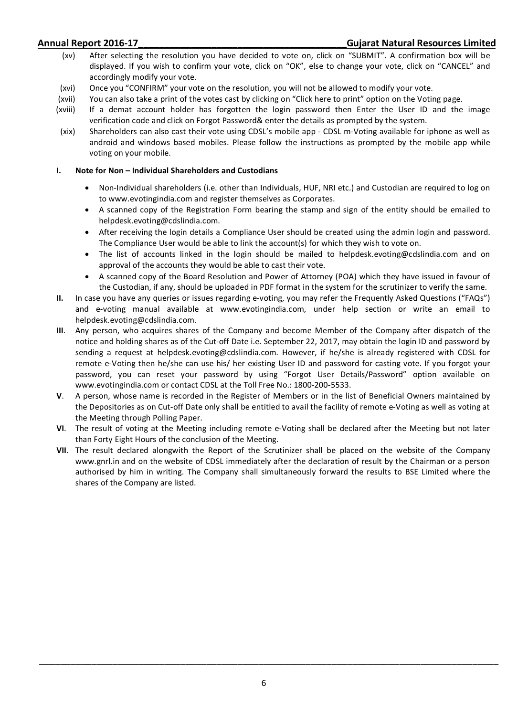- (xv) After selecting the resolution you have decided to vote on, click on "SUBMIT". A confirmation box will be displayed. If you wish to confirm your vote, click on "OK", else to change your vote, click on "CANCEL" and accordingly modify your vote.
- (xvi) Once you "CONFIRM" your vote on the resolution, you will not be allowed to modify your vote.
- (xvii) You can also take a print of the votes cast by clicking on "Click here to print" option on the Voting page.
- (xviii) If a demat account holder has forgotten the login password then Enter the User ID and the image verification code and click on Forgot Password& enter the details as prompted by the system.
- (xix) Shareholders can also cast their vote using CDSL's mobile app CDSL m-Voting available for iphone as well as android and windows based mobiles. Please follow the instructions as prompted by the mobile app while voting on your mobile.

### **I. Note for Non – Individual Shareholders and Custodians**

- Non-Individual shareholders (i.e. other than Individuals, HUF, NRI etc.) and Custodian are required to log on to www.evotingindia.com and register themselves as Corporates.
- A scanned copy of the Registration Form bearing the stamp and sign of the entity should be emailed to helpdesk.evoting@cdslindia.com.
- After receiving the login details a Compliance User should be created using the admin login and password. The Compliance User would be able to link the account(s) for which they wish to vote on.
- The list of accounts linked in the login should be mailed to helpdesk.evoting@cdslindia.com and on approval of the accounts they would be able to cast their vote.
- A scanned copy of the Board Resolution and Power of Attorney (POA) which they have issued in favour of the Custodian, if any, should be uploaded in PDF format in the system for the scrutinizer to verify the same.
- **II.** In case you have any queries or issues regarding e-voting, you may refer the Frequently Asked Questions ("FAQs") and e-voting manual available at www.evotingindia.com, under help section or write an email to helpdesk.evoting@cdslindia.com.
- **III**. Any person, who acquires shares of the Company and become Member of the Company after dispatch of the notice and holding shares as of the Cut-off Date i.e. September 22, 2017, may obtain the login ID and password by sending a request at helpdesk.evoting@cdslindia.com. However, if he/she is already registered with CDSL for remote e-Voting then he/she can use his/ her existing User ID and password for casting vote. If you forgot your password, you can reset your password by using "Forgot User Details/Password" option available on www.evotingindia.com or contact CDSL at the Toll Free No.: 1800-200-5533.
- **V**. A person, whose name is recorded in the Register of Members or in the list of Beneficial Owners maintained by the Depositories as on Cut-off Date only shall be entitled to avail the facility of remote e-Voting as well as voting at the Meeting through Polling Paper.
- **VI**. The result of voting at the Meeting including remote e-Voting shall be declared after the Meeting but not later than Forty Eight Hours of the conclusion of the Meeting.
- **VII**. The result declared alongwith the Report of the Scrutinizer shall be placed on the website of the Company www.gnrl.in and on the website of CDSL immediately after the declaration of result by the Chairman or a person authorised by him in writing. The Company shall simultaneously forward the results to BSE Limited where the shares of the Company are listed.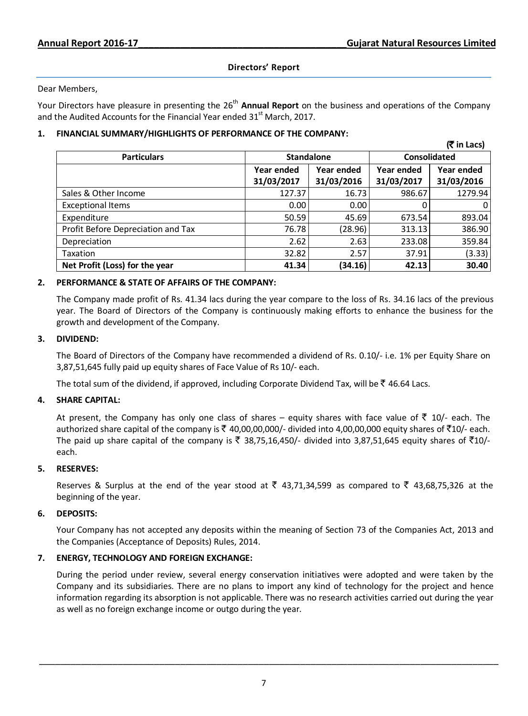## **Directors' Report**

### Dear Members,

Your Directors have pleasure in presenting the 26<sup>th</sup> Annual Report on the business and operations of the Company and the Audited Accounts for the Financial Year ended  $31<sup>st</sup>$  March, 2017.

## **1. FINANCIAL SUMMARY/HIGHLIGHTS OF PERFORMANCE OF THE COMPANY:**

|                                    |                   |            |              | (₹ in Lacs)  |
|------------------------------------|-------------------|------------|--------------|--------------|
| <b>Particulars</b>                 | <b>Standalone</b> |            | Consolidated |              |
|                                    | Year ended        | Year ended | Year ended   | Year ended   |
|                                    | 31/03/2017        | 31/03/2016 | 31/03/2017   | 31/03/2016   |
| Sales & Other Income               | 127.37            | 16.73      | 986.67       | 1279.94      |
| <b>Exceptional Items</b>           | 0.00              | 0.00       |              | $\mathbf{0}$ |
| Expenditure                        | 50.59             | 45.69      | 673.54       | 893.04       |
| Profit Before Depreciation and Tax | 76.78             | (28.96)    | 313.13       | 386.90       |
| Depreciation                       | 2.62              | 2.63       | 233.08       | 359.84       |
| Taxation                           | 32.82             | 2.57       | 37.91        | (3.33)       |
| Net Profit (Loss) for the year     | 41.34             | (34.16)    | 42.13        | 30.40        |

## **2. PERFORMANCE & STATE OF AFFAIRS OF THE COMPANY:**

The Company made profit of Rs. 41.34 lacs during the year compare to the loss of Rs. 34.16 lacs of the previous year. The Board of Directors of the Company is continuously making efforts to enhance the business for the growth and development of the Company.

### **3. DIVIDEND:**

The Board of Directors of the Company have recommended a dividend of Rs. 0.10/- i.e. 1% per Equity Share on 3,87,51,645 fully paid up equity shares of Face Value of Rs 10/- each.

The total sum of the dividend, if approved, including Corporate Dividend Tax, will be  $\bar{\zeta}$  46.64 Lacs.

## **4. SHARE CAPITAL:**

At present, the Company has only one class of shares – equity shares with face value of  $\bar{z}$  10/- each. The authorized share capital of the company is ₹ 40,00,00,000/- divided into 4,00,00,000 equity shares of ₹10/- each. The paid up share capital of the company is  $\bar{\tau}$  38,75,16,450/- divided into 3,87,51,645 equity shares of  $\bar{\tau}$ 10/each.

### **5. RESERVES:**

Reserves & Surplus at the end of the year stood at  $\bar{\xi}$  43,71,34,599 as compared to  $\bar{\xi}$  43,68,75,326 at the beginning of the year.

## **6. DEPOSITS:**

Your Company has not accepted any deposits within the meaning of Section 73 of the Companies Act, 2013 and the Companies (Acceptance of Deposits) Rules, 2014.

## **7. ENERGY, TECHNOLOGY AND FOREIGN EXCHANGE:**

During the period under review, several energy conservation initiatives were adopted and were taken by the Company and its subsidiaries. There are no plans to import any kind of technology for the project and hence information regarding its absorption is not applicable. There was no research activities carried out during the year as well as no foreign exchange income or outgo during the year.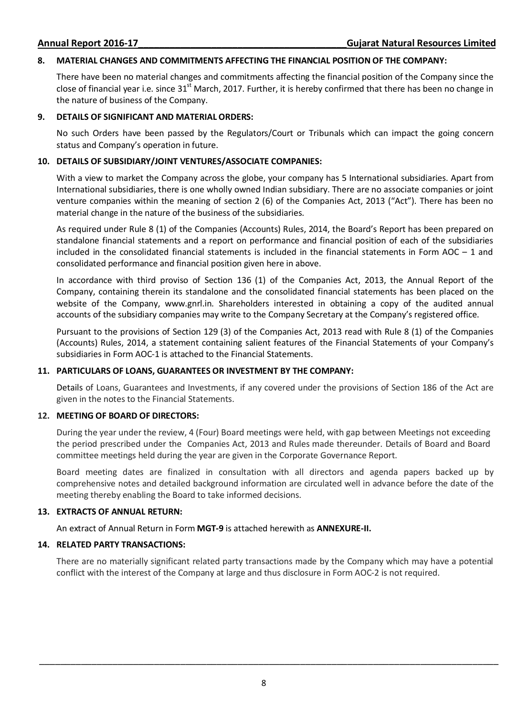### **8. MATERIAL CHANGES AND COMMITMENTS AFFECTING THE FINANCIAL POSITION OF THE COMPANY:**

There have been no material changes and commitments affecting the financial position of the Company since the close of financial year i.e. since  $31<sup>st</sup>$  March, 2017. Further, it is hereby confirmed that there has been no change in the nature of business of the Company.

### **9. DETAILS OF SIGNIFICANT AND MATERIAL ORDERS:**

No such Orders have been passed by the Regulators/Court or Tribunals which can impact the going concern status and Company's operation in future.

### **10. DETAILS OF SUBSIDIARY/JOINT VENTURES/ASSOCIATE COMPANIES:**

With a view to market the Company across the globe, your company has 5 International subsidiaries. Apart from International subsidiaries, there is one wholly owned Indian subsidiary. There are no associate companies or joint venture companies within the meaning of section 2 (6) of the Companies Act, 2013 ("Act"). There has been no material change in the nature of the business of the subsidiaries.

As required under Rule 8 (1) of the Companies (Accounts) Rules, 2014, the Board's Report has been prepared on standalone financial statements and a report on performance and financial position of each of the subsidiaries included in the consolidated financial statements is included in the financial statements in Form  $AOC - 1$  and consolidated performance and financial position given here in above.

In accordance with third proviso of Section 136 (1) of the Companies Act, 2013, the Annual Report of the Company, containing therein its standalone and the consolidated financial statements has been placed on the website of the Company, www.gnrl.in. Shareholders interested in obtaining a copy of the audited annual accounts of the subsidiary companies may write to the Company Secretary at the Company's registered office.

Pursuant to the provisions of Section 129 (3) of the Companies Act, 2013 read with Rule 8 (1) of the Companies (Accounts) Rules, 2014, a statement containing salient features of the Financial Statements of your Company's subsidiaries in Form AOC-1 is attached to the Financial Statements.

### **11. PARTICULARS OF LOANS, GUARANTEES OR INVESTMENT BY THE COMPANY:**

Details of Loans, Guarantees and Investments, if any covered under the provisions of Section 186 of the Act are given in the notes to the Financial Statements.

### **12. MEETING OF BOARD OF DIRECTORS:**

During the year under the review, 4 (Four) Board meetings were held, with gap between Meetings not exceeding the period prescribed under the Companies Act, 2013 and Rules made thereunder. Details of Board and Board committee meetings held during the year are given in the Corporate Governance Report.

Board meeting dates are finalized in consultation with all directors and agenda papers backed up by comprehensive notes and detailed background information are circulated well in advance before the date of the meeting thereby enabling the Board to take informed decisions.

## **13. EXTRACTS OF ANNUAL RETURN:**

An extract of Annual Return in Form **MGT-9** is attached herewith as **ANNEXURE-II.** 

## **14. RELATED PARTY TRANSACTIONS:**

There are no materially significant related party transactions made by the Company which may have a potential conflict with the interest of the Company at large and thus disclosure in Form AOC-2 is not required.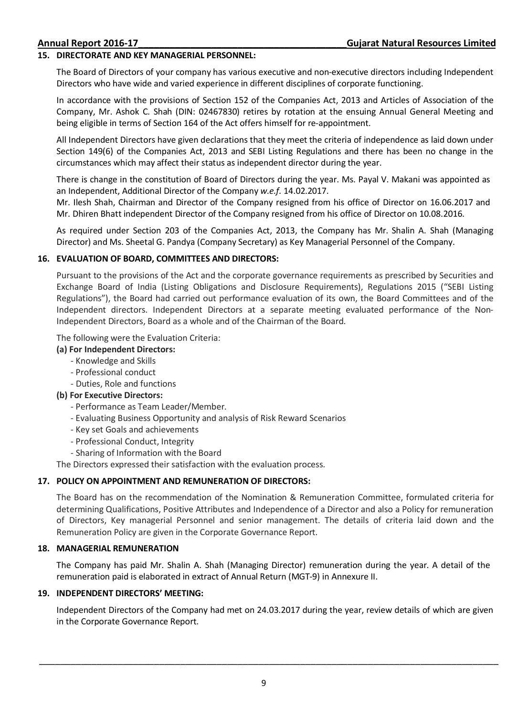### **15. DIRECTORATE AND KEY MANAGERIAL PERSONNEL:**

The Board of Directors of your company has various executive and non-executive directors including Independent Directors who have wide and varied experience in different disciplines of corporate functioning.

In accordance with the provisions of Section 152 of the Companies Act, 2013 and Articles of Association of the Company, Mr. Ashok C. Shah (DIN: 02467830) retires by rotation at the ensuing Annual General Meeting and being eligible in terms of Section 164 of the Act offers himself for re-appointment.

All Independent Directors have given declarations that they meet the criteria of independence as laid down under Section 149(6) of the Companies Act, 2013 and SEBI Listing Regulations and there has been no change in the circumstances which may affect their status as independent director during the year.

There is change in the constitution of Board of Directors during the year. Ms. Payal V. Makani was appointed as an Independent, Additional Director of the Company *w.e.f.* 14.02.2017.

Mr. Ilesh Shah, Chairman and Director of the Company resigned from his office of Director on 16.06.2017 and Mr. Dhiren Bhatt independent Director of the Company resigned from his office of Director on 10.08.2016.

As required under Section 203 of the Companies Act, 2013, the Company has Mr. Shalin A. Shah (Managing Director) and Ms. Sheetal G. Pandya (Company Secretary) as Key Managerial Personnel of the Company.

### **16. EVALUATION OF BOARD, COMMITTEES AND DIRECTORS:**

Pursuant to the provisions of the Act and the corporate governance requirements as prescribed by Securities and Exchange Board of India (Listing Obligations and Disclosure Requirements), Regulations 2015 ("SEBI Listing Regulations"), the Board had carried out performance evaluation of its own, the Board Committees and of the Independent directors. Independent Directors at a separate meeting evaluated performance of the Non-Independent Directors, Board as a whole and of the Chairman of the Board.

The following were the Evaluation Criteria:

### **(a) For Independent Directors:**

- Knowledge and Skills
- Professional conduct
- Duties, Role and functions
- **(b) For Executive Directors:** 
	- Performance as Team Leader/Member.
	- Evaluating Business Opportunity and analysis of Risk Reward Scenarios
	- Key set Goals and achievements
	- Professional Conduct, Integrity
	- Sharing of Information with the Board

The Directors expressed their satisfaction with the evaluation process.

## **17. POLICY ON APPOINTMENT AND REMUNERATION OF DIRECTORS:**

 The Board has on the recommendation of the Nomination & Remuneration Committee, formulated criteria for determining Qualifications, Positive Attributes and Independence of a Director and also a Policy for remuneration of Directors, Key managerial Personnel and senior management. The details of criteria laid down and the Remuneration Policy are given in the Corporate Governance Report.

### **18. MANAGERIAL REMUNERATION**

The Company has paid Mr. Shalin A. Shah (Managing Director) remuneration during the year. A detail of the remuneration paid is elaborated in extract of Annual Return (MGT-9) in Annexure II.

### **19. INDEPENDENT DIRECTORS' MEETING:**

Independent Directors of the Company had met on 24.03.2017 during the year, review details of which are given in the Corporate Governance Report.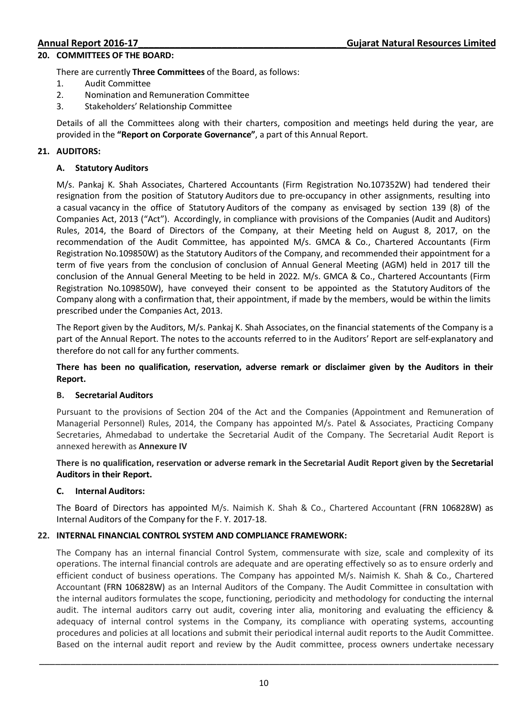### **20. COMMITTEES OF THE BOARD:**

There are currently **Three Committees** of the Board, as follows:

- 1. Audit Committee
- 2. Nomination and Remuneration Committee
- 3. Stakeholders' Relationship Committee

Details of all the Committees along with their charters, composition and meetings held during the year, are provided in the **"Report on Corporate Governance"**, a part of this Annual Report.

## **21. AUDITORS:**

## **A. Statutory Auditors**

M/s. Pankaj K. Shah Associates, Chartered Accountants (Firm Registration No.107352W) had tendered their resignation from the position of Statutory Auditors due to pre-occupancy in other assignments, resulting into a casual vacancy in the office of Statutory Auditors of the company as envisaged by section 139 (8) of the Companies Act, 2013 ("Act"). Accordingly, in compliance with provisions of the Companies (Audit and Auditors) Rules, 2014, the Board of Directors of the Company, at their Meeting held on August 8, 2017, on the recommendation of the Audit Committee, has appointed M/s. GMCA & Co., Chartered Accountants (Firm Registration No.109850W) as the Statutory Auditors of the Company, and recommended their appointment for a term of five years from the conclusion of conclusion of Annual General Meeting (AGM) held in 2017 till the conclusion of the Annual General Meeting to be held in 2022. M/s. GMCA & Co., Chartered Accountants (Firm Registration No.109850W), have conveyed their consent to be appointed as the Statutory Auditors of the Company along with a confirmation that, their appointment, if made by the members, would be within the limits prescribed under the Companies Act, 2013.

The Report given by the Auditors, M/s. Pankaj K. Shah Associates, on the financial statements of the Company is a part of the Annual Report. The notes to the accounts referred to in the Auditors' Report are self-explanatory and therefore do not call for any further comments.

## **There has been no qualification, reservation, adverse remark or disclaimer given by the Auditors in their Report.**

## **B. Secretarial Auditors**

Pursuant to the provisions of Section 204 of the Act and the Companies (Appointment and Remuneration of Managerial Personnel) Rules, 2014, the Company has appointed M/s. Patel & Associates, Practicing Company Secretaries, Ahmedabad to undertake the Secretarial Audit of the Company. The Secretarial Audit Report is annexed herewith as **Annexure IV** 

## **There is no qualification, reservation or adverse remark in the Secretarial Audit Report given by the Secretarial Auditors in their Report.**

## **C. Internal Auditors:**

The Board of Directors has appointed M/s. Naimish K. Shah & Co., Chartered Accountant (FRN 106828W) as Internal Auditors of the Company for the F. Y. 2017-18.

## **22. INTERNAL FINANCIAL CONTROL SYSTEM AND COMPLIANCE FRAMEWORK:**

The Company has an internal financial Control System, commensurate with size, scale and complexity of its operations. The internal financial controls are adequate and are operating effectively so as to ensure orderly and efficient conduct of business operations. The Company has appointed M/s. Naimish K. Shah & Co., Chartered Accountant (FRN 106828W) as an Internal Auditors of the Company. The Audit Committee in consultation with the internal auditors formulates the scope, functioning, periodicity and methodology for conducting the internal audit. The internal auditors carry out audit, covering inter alia, monitoring and evaluating the efficiency & adequacy of internal control systems in the Company, its compliance with operating systems, accounting procedures and policies at all locations and submit their periodical internal audit reports to the Audit Committee. Based on the internal audit report and review by the Audit committee, process owners undertake necessary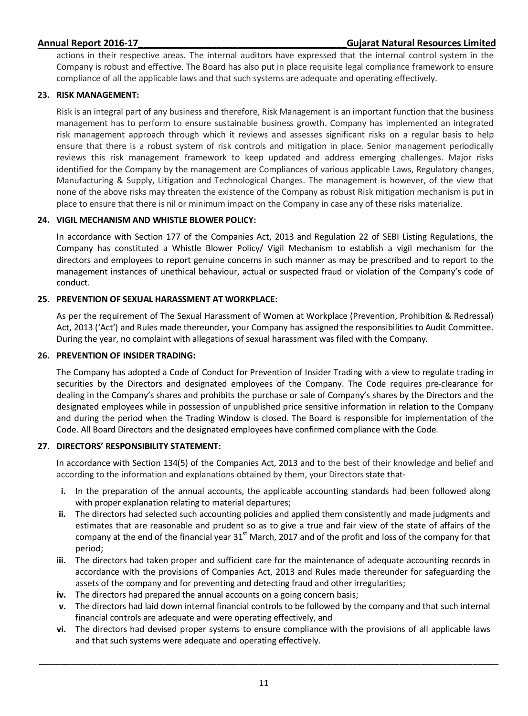actions in their respective areas. The internal auditors have expressed that the internal control system in the Company is robust and effective. The Board has also put in place requisite legal compliance framework to ensure compliance of all the applicable laws and that such systems are adequate and operating effectively.

## **23. RISK MANAGEMENT:**

Risk is an integral part of any business and therefore, Risk Management is an important function that the business management has to perform to ensure sustainable business growth. Company has implemented an integrated risk management approach through which it reviews and assesses significant risks on a regular basis to help ensure that there is a robust system of risk controls and mitigation in place. Senior management periodically reviews this risk management framework to keep updated and address emerging challenges. Major risks identified for the Company by the management are Compliances of various applicable Laws, Regulatory changes, Manufacturing & Supply, Litigation and Technological Changes. The management is however, of the view that none of the above risks may threaten the existence of the Company as robust Risk mitigation mechanism is put in place to ensure that there is nil or minimum impact on the Company in case any of these risks materialize.

## **24. VIGIL MECHANISM AND WHISTLE BLOWER POLICY:**

In accordance with Section 177 of the Companies Act, 2013 and Regulation 22 of SEBI Listing Regulations, the Company has constituted a Whistle Blower Policy/ Vigil Mechanism to establish a vigil mechanism for the directors and employees to report genuine concerns in such manner as may be prescribed and to report to the management instances of unethical behaviour, actual or suspected fraud or violation of the Company's code of conduct.

## **25. PREVENTION OF SEXUAL HARASSMENT AT WORKPLACE:**

As per the requirement of The Sexual Harassment of Women at Workplace (Prevention, Prohibition & Redressal) Act, 2013 ('Act') and Rules made thereunder, your Company has assigned the responsibilities to Audit Committee. During the year, no complaint with allegations of sexual harassment was filed with the Company.

## **26. PREVENTION OF INSIDER TRADING:**

The Company has adopted a Code of Conduct for Prevention of Insider Trading with a view to regulate trading in securities by the Directors and designated employees of the Company. The Code requires pre-clearance for dealing in the Company's shares and prohibits the purchase or sale of Company's shares by the Directors and the designated employees while in possession of unpublished price sensitive information in relation to the Company and during the period when the Trading Window is closed. The Board is responsible for implementation of the Code. All Board Directors and the designated employees have confirmed compliance with the Code.

## **27. DIRECTORS' RESPONSIBILITY STATEMENT:**

In accordance with Section 134(5) of the Companies Act, 2013 and to the best of their knowledge and belief and according to the information and explanations obtained by them, your Directors state that-

- **i.** In the preparation of the annual accounts, the applicable accounting standards had been followed along with proper explanation relating to material departures;
- **ii.** The directors had selected such accounting policies and applied them consistently and made judgments and estimates that are reasonable and prudent so as to give a true and fair view of the state of affairs of the company at the end of the financial year 31<sup>st</sup> March, 2017 and of the profit and loss of the company for that period;
- **iii.** The directors had taken proper and sufficient care for the maintenance of adequate accounting records in accordance with the provisions of Companies Act, 2013 and Rules made thereunder for safeguarding the assets of the company and for preventing and detecting fraud and other irregularities;
- **iv.** The directors had prepared the annual accounts on a going concern basis;
- **v.** The directors had laid down internal financial controls to be followed by the company and that such internal financial controls are adequate and were operating effectively, and
- **vi.** The directors had devised proper systems to ensure compliance with the provisions of all applicable laws and that such systems were adequate and operating effectively.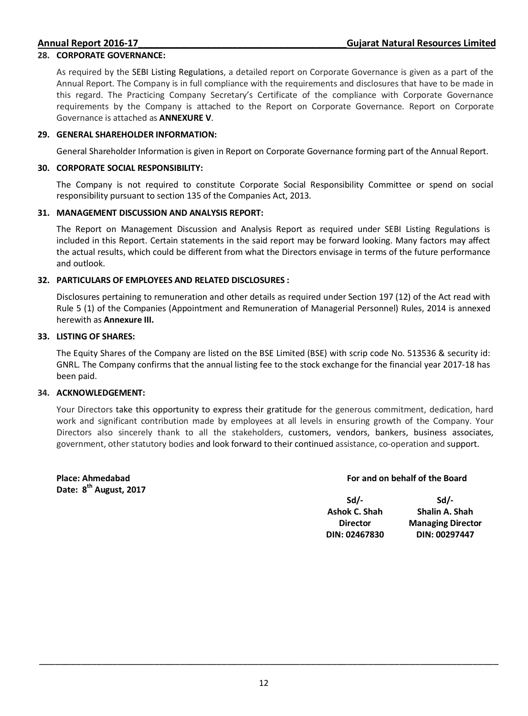### **28. CORPORATE GOVERNANCE:**

As required by the SEBI Listing Regulations, a detailed report on Corporate Governance is given as a part of the Annual Report. The Company is in full compliance with the requirements and disclosures that have to be made in this regard. The Practicing Company Secretary's Certificate of the compliance with Corporate Governance requirements by the Company is attached to the Report on Corporate Governance. Report on Corporate Governance is attached as **ANNEXURE V**.

### **29. GENERAL SHAREHOLDER INFORMATION:**

General Shareholder Information is given in Report on Corporate Governance forming part of the Annual Report.

### **30. CORPORATE SOCIAL RESPONSIBILITY:**

The Company is not required to constitute Corporate Social Responsibility Committee or spend on social responsibility pursuant to section 135 of the Companies Act, 2013.

### **31. MANAGEMENT DISCUSSION AND ANALYSIS REPORT:**

The Report on Management Discussion and Analysis Report as required under SEBI Listing Regulations is included in this Report. Certain statements in the said report may be forward looking. Many factors may affect the actual results, which could be different from what the Directors envisage in terms of the future performance and outlook.

### **32. PARTICULARS OF EMPLOYEES AND RELATED DISCLOSURES :**

Disclosures pertaining to remuneration and other details as required under Section 197 (12) of the Act read with Rule 5 (1) of the Companies (Appointment and Remuneration of Managerial Personnel) Rules, 2014 is annexed herewith as **Annexure III.** 

### **33. LISTING OF SHARES:**

The Equity Shares of the Company are listed on the BSE Limited (BSE) with scrip code No. 513536 & security id: GNRL. The Company confirms that the annual listing fee to the stock exchange for the financial year 2017-18 has been paid.

### **34. ACKNOWLEDGEMENT:**

Your Directors take this opportunity to express their gratitude for the generous commitment, dedication, hard work and significant contribution made by employees at all levels in ensuring growth of the Company. Your Directors also sincerely thank to all the stakeholders, customers, vendors, bankers, business associates, government, other statutory bodies and look forward to their continued assistance, co-operation and support.

**Place: Ahmedabad Date: 8th August, 2017**

### **For and on behalf of the Board**

| Sd/-            | $Sd/-$                   |
|-----------------|--------------------------|
| Ashok C. Shah   | Shalin A. Shah           |
| <b>Director</b> | <b>Managing Director</b> |
| DIN: 02467830   | DIN: 00297447            |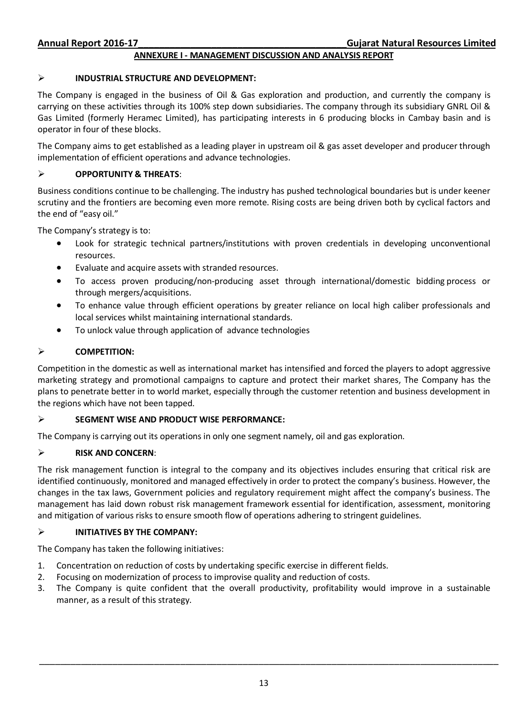### **ANNEXURE I - MANAGEMENT DISCUSSION AND ANALYSIS REPORT**

### **INDUSTRIAL STRUCTURE AND DEVELOPMENT:**

The Company is engaged in the business of Oil & Gas exploration and production, and currently the company is carrying on these activities through its 100% step down subsidiaries. The company through its subsidiary GNRL Oil & Gas Limited (formerly Heramec Limited), has participating interests in 6 producing blocks in Cambay basin and is operator in four of these blocks.

The Company aims to get established as a leading player in upstream oil & gas asset developer and producer through implementation of efficient operations and advance technologies.

### **OPPORTUNITY & THREATS**:

Business conditions continue to be challenging. The industry has pushed technological boundaries but is under keener scrutiny and the frontiers are becoming even more remote. Rising costs are being driven both by cyclical factors and the end of "easy oil."

The Company's strategy is to:

- Look for strategic technical partners/institutions with proven credentials in developing unconventional resources.
- Evaluate and acquire assets with stranded resources.
- To access proven producing/non-producing asset through international/domestic bidding process or through mergers/acquisitions.
- To enhance value through efficient operations by greater reliance on local high caliber professionals and local services whilst maintaining international standards.
- To unlock value through application of advance technologies

### **COMPETITION:**

Competition in the domestic as well as international market has intensified and forced the players to adopt aggressive marketing strategy and promotional campaigns to capture and protect their market shares, The Company has the plans to penetrate better in to world market, especially through the customer retention and business development in the regions which have not been tapped.

### **SEGMENT WISE AND PRODUCT WISE PERFORMANCE:**

The Company is carrying out its operations in only one segment namely, oil and gas exploration.

### **RISK AND CONCERN**:

The risk management function is integral to the company and its objectives includes ensuring that critical risk are identified continuously, monitored and managed effectively in order to protect the company's business. However, the changes in the tax laws, Government policies and regulatory requirement might affect the company's business. The management has laid down robust risk management framework essential for identification, assessment, monitoring and mitigation of various risks to ensure smooth flow of operations adhering to stringent guidelines.

### **INITIATIVES BY THE COMPANY:**

The Company has taken the following initiatives:

- 1. Concentration on reduction of costs by undertaking specific exercise in different fields.
- 2. Focusing on modernization of process to improvise quality and reduction of costs.
- 3. The Company is quite confident that the overall productivity, profitability would improve in a sustainable manner, as a result of this strategy.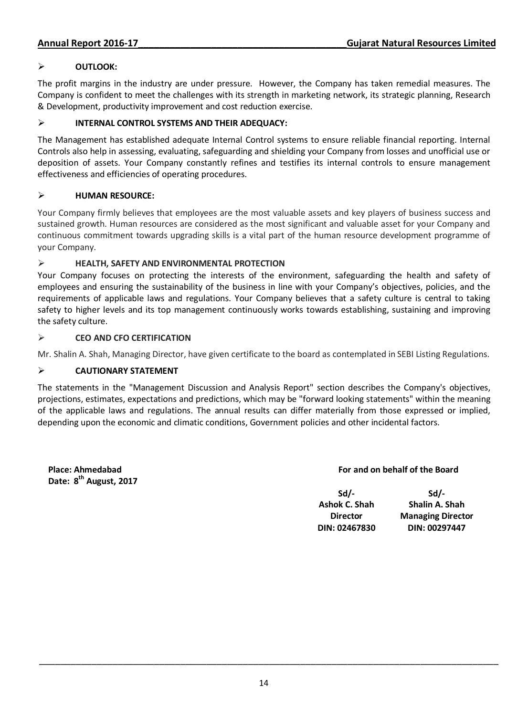## **OUTLOOK:**

The profit margins in the industry are under pressure. However, the Company has taken remedial measures. The Company is confident to meet the challenges with its strength in marketing network, its strategic planning, Research & Development, productivity improvement and cost reduction exercise.

## **INTERNAL CONTROL SYSTEMS AND THEIR ADEQUACY:**

The Management has established adequate Internal Control systems to ensure reliable financial reporting. Internal Controls also help in assessing, evaluating, safeguarding and shielding your Company from losses and unofficial use or deposition of assets. Your Company constantly refines and testifies its internal controls to ensure management effectiveness and efficiencies of operating procedures.

## **HUMAN RESOURCE:**

Your Company firmly believes that employees are the most valuable assets and key players of business success and sustained growth. Human resources are considered as the most significant and valuable asset for your Company and continuous commitment towards upgrading skills is a vital part of the human resource development programme of your Company.

## **HEALTH, SAFETY AND ENVIRONMENTAL PROTECTION**

Your Company focuses on protecting the interests of the environment, safeguarding the health and safety of employees and ensuring the sustainability of the business in line with your Company's objectives, policies, and the requirements of applicable laws and regulations. Your Company believes that a safety culture is central to taking safety to higher levels and its top management continuously works towards establishing, sustaining and improving the safety culture.

## **CEO AND CFO CERTIFICATION**

Mr. Shalin A. Shah, Managing Director, have given certificate to the board as contemplated in SEBI Listing Regulations.

## **CAUTIONARY STATEMENT**

The statements in the "Management Discussion and Analysis Report" section describes the Company's objectives, projections, estimates, expectations and predictions, which may be "forward looking statements" within the meaning of the applicable laws and regulations. The annual results can differ materially from those expressed or implied, depending upon the economic and climatic conditions, Government policies and other incidental factors.

**Place: Ahmedabad Date: 8th August, 2017**

## **For and on behalf of the Board**

**Sd/- Ashok C. Shah Director DIN: 02467830** 

**Sd/- Shalin A. Shah Managing Director DIN: 00297447**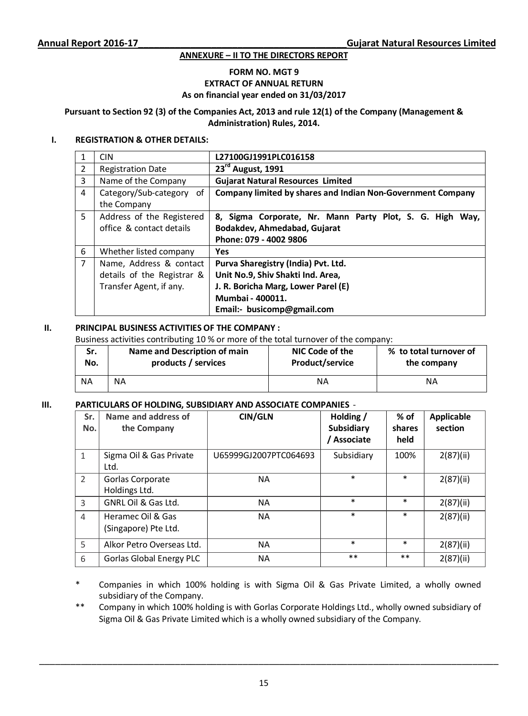### **ANNEXURE – II TO THE DIRECTORS REPORT**

### **FORM NO. MGT 9 EXTRACT OF ANNUAL RETURN As on financial year ended on 31/03/2017**

**Pursuant to Section 92 (3) of the Companies Act, 2013 and rule 12(1) of the Company (Management & Administration) Rules, 2014.** 

### **I. REGISTRATION & OTHER DETAILS:**

|                | <b>CIN</b>                  | L27100GJ1991PLC016158                                       |  |  |
|----------------|-----------------------------|-------------------------------------------------------------|--|--|
| 2              | <b>Registration Date</b>    | 23rd August, 1991                                           |  |  |
| 3              | Name of the Company         | <b>Gujarat Natural Resources Limited</b>                    |  |  |
| 4              | Category/Sub-category<br>of | Company limited by shares and Indian Non-Government Company |  |  |
|                | the Company                 |                                                             |  |  |
| 5              | Address of the Registered   | 8, Sigma Corporate, Nr. Mann Party Plot, S. G. High<br>Way, |  |  |
|                | office & contact details    | Bodakdev, Ahmedabad, Gujarat                                |  |  |
|                |                             | Phone: 079 - 4002 9806                                      |  |  |
| 6              | Whether listed company      | <b>Yes</b>                                                  |  |  |
| $\overline{7}$ | Name, Address & contact     | Purva Sharegistry (India) Pvt. Ltd.                         |  |  |
|                | details of the Registrar &  | Unit No.9, Shiv Shakti Ind. Area,                           |  |  |
|                | Transfer Agent, if any.     | J. R. Boricha Marg, Lower Parel (E)                         |  |  |
|                |                             | Mumbai - 400011.                                            |  |  |
|                |                             | Email:- busicomp@gmail.com                                  |  |  |

## **II. PRINCIPAL BUSINESS ACTIVITIES OF THE COMPANY :**

Business activities contributing 10 % or more of the total turnover of the company:

| Sr.       | Name and Description of main | NIC Code of the        | % to total turnover of |
|-----------|------------------------------|------------------------|------------------------|
| No.       | products / services          | <b>Product/service</b> | the company            |
| <b>NA</b> | ΝA                           | ΝA                     |                        |

### **III. PARTICULARS OF HOLDING, SUBSIDIARY AND ASSOCIATE COMPANIES** -

| Sr.<br>No.     | Name and address of<br>the Company        | <b>CIN/GLN</b>        | Holding /<br>Subsidiary<br>Associate | $%$ of<br>shares<br>held | <b>Applicable</b><br>section |
|----------------|-------------------------------------------|-----------------------|--------------------------------------|--------------------------|------------------------------|
| $\mathbf{1}$   | Sigma Oil & Gas Private<br>Ltd.           | U65999GJ2007PTC064693 | Subsidiary                           | 100%                     | 2(87)(ii)                    |
| $\mathcal{P}$  | Gorlas Corporate<br>Holdings Ltd.         | NA                    | $\ast$                               | $\ast$                   | 2(87)(ii)                    |
| 3              | GNRL Oil & Gas Ltd.                       | <b>NA</b>             | $\ast$                               | $\ast$                   | 2(87)(ii)                    |
| $\overline{4}$ | Heramec Oil & Gas<br>(Singapore) Pte Ltd. | NA                    | $\ast$                               | $\ast$                   | 2(87)(ii)                    |
| 5              | Alkor Petro Overseas Ltd.                 | <b>NA</b>             | $\ast$                               | $\ast$                   | 2(87)(ii)                    |
| 6              | <b>Gorlas Global Energy PLC</b>           | NA.                   | $***$                                | $***$                    | 2(87)(ii)                    |

\* Companies in which 100% holding is with Sigma Oil & Gas Private Limited, a wholly owned subsidiary of the Company.

\*\* Company in which 100% holding is with Gorlas Corporate Holdings Ltd., wholly owned subsidiary of Sigma Oil & Gas Private Limited which is a wholly owned subsidiary of the Company.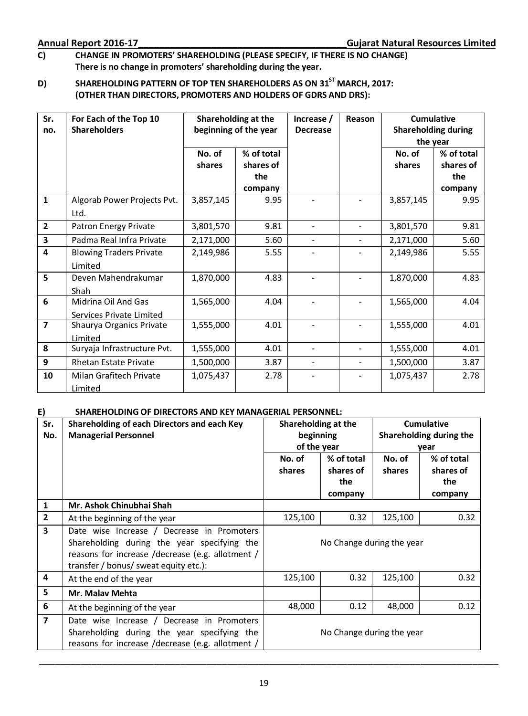## **C) CHANGE IN PROMOTERS' SHAREHOLDING (PLEASE SPECIFY, IF THERE IS NO CHANGE) There is no change in promoters' shareholding during the year.**

## **D) SHAREHOLDING PATTERN OF TOP TEN SHAREHOLDERS AS ON 31ST MARCH, 2017: (OTHER THAN DIRECTORS, PROMOTERS AND HOLDERS OF GDRS AND DRS):**

| Sr.                     | For Each of the Top 10         | Shareholding at the   |            | Increase /      | Reason                   | <b>Cumulative</b>          |            |
|-------------------------|--------------------------------|-----------------------|------------|-----------------|--------------------------|----------------------------|------------|
| no.                     | <b>Shareholders</b>            | beginning of the year |            | <b>Decrease</b> |                          | <b>Shareholding during</b> |            |
|                         |                                |                       |            |                 |                          | the year                   |            |
|                         |                                | No. of                | % of total |                 |                          | No. of                     | % of total |
|                         |                                | shares                | shares of  |                 |                          | shares                     | shares of  |
|                         |                                |                       | the        |                 |                          |                            | the        |
|                         |                                |                       | company    |                 |                          |                            | company    |
| $\mathbf{1}$            | Algorab Power Projects Pvt.    | 3,857,145             | 9.95       |                 |                          | 3,857,145                  | 9.95       |
|                         | Ltd.                           |                       |            |                 |                          |                            |            |
| $\overline{2}$          | Patron Energy Private          | 3,801,570             | 9.81       |                 |                          | 3,801,570                  | 9.81       |
| $\overline{\mathbf{3}}$ | Padma Real Infra Private       | 2,171,000             | 5.60       |                 |                          | 2,171,000                  | 5.60       |
| 4                       | <b>Blowing Traders Private</b> | 2,149,986             | 5.55       |                 |                          | 2,149,986                  | 5.55       |
|                         | Limited                        |                       |            |                 |                          |                            |            |
| 5                       | Deven Mahendrakumar            | 1,870,000             | 4.83       |                 |                          | 1,870,000                  | 4.83       |
|                         | <b>Shah</b>                    |                       |            |                 |                          |                            |            |
| 6                       | Midrina Oil And Gas            | 1,565,000             | 4.04       |                 |                          | 1,565,000                  | 4.04       |
|                         | Services Private Limited       |                       |            |                 |                          |                            |            |
| $\overline{\mathbf{z}}$ | Shaurya Organics Private       | 1,555,000             | 4.01       |                 |                          | 1,555,000                  | 4.01       |
|                         | Limited                        |                       |            |                 |                          |                            |            |
| 8                       | Suryaja Infrastructure Pvt.    | 1,555,000             | 4.01       |                 | ÷.                       | 1,555,000                  | 4.01       |
| 9                       | <b>Rhetan Estate Private</b>   | 1,500,000             | 3.87       | ٠               | $\overline{\phantom{0}}$ | 1,500,000                  | 3.87       |
| 10                      | Milan Grafitech Private        | 1,075,437             | 2.78       |                 |                          | 1,075,437                  | 2.78       |
|                         | Limited                        |                       |            |                 |                          |                            |            |

## **E) SHAREHOLDING OF DIRECTORS AND KEY MANAGERIAL PERSONNEL:**

| Sr.                      | Shareholding of each Directors and each Key      | Shareholding at the       |                           | Cumulative |                         |  |
|--------------------------|--------------------------------------------------|---------------------------|---------------------------|------------|-------------------------|--|
| No.                      | <b>Managerial Personnel</b>                      |                           | beginning                 |            | Shareholding during the |  |
|                          |                                                  | of the year               |                           |            | year                    |  |
|                          |                                                  | No. of                    | % of total                | No. of     | % of total              |  |
|                          |                                                  | shares                    | shares of                 | shares     | shares of               |  |
|                          |                                                  |                           | the                       |            | the                     |  |
|                          |                                                  |                           | company                   |            | company                 |  |
| 1                        | Mr. Ashok Chinubhai Shah                         |                           |                           |            |                         |  |
| $\overline{2}$           | At the beginning of the year                     | 125,100                   | 0.32                      | 125,100    | 0.32                    |  |
| 3                        | Date wise Increase / Decrease in Promoters       |                           |                           |            |                         |  |
|                          | Shareholding during the year specifying the      |                           | No Change during the year |            |                         |  |
|                          | reasons for increase /decrease (e.g. allotment / |                           |                           |            |                         |  |
|                          | transfer / bonus/ sweat equity etc.):            |                           |                           |            |                         |  |
| 4                        | At the end of the year                           | 125,100                   | 0.32                      | 125,100    | 0.32                    |  |
| 5                        | <b>Mr. Malay Mehta</b>                           |                           |                           |            |                         |  |
| 6                        | At the beginning of the year                     | 48,000                    | 0.12                      | 48,000     | 0.12                    |  |
| $\overline{\phantom{a}}$ | Date wise Increase / Decrease in Promoters       |                           |                           |            |                         |  |
|                          | Shareholding during the year specifying the      | No Change during the year |                           |            |                         |  |
|                          | reasons for increase /decrease (e.g. allotment / |                           |                           |            |                         |  |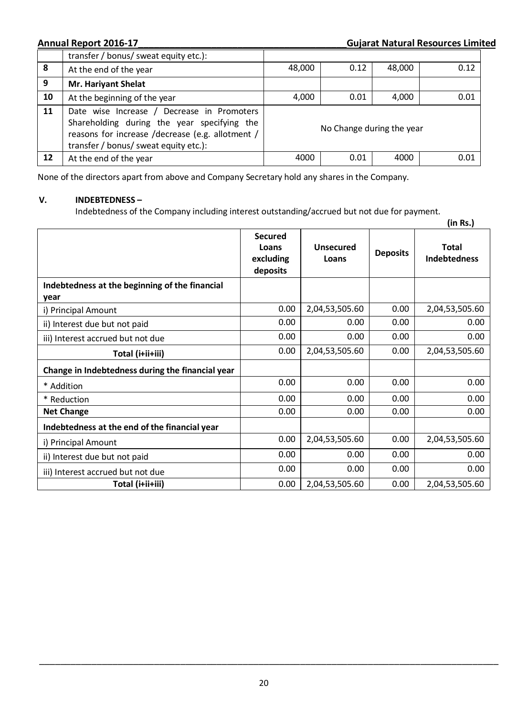**Annual Report 2016-17\_\_\_\_\_\_\_\_\_\_\_\_\_\_\_\_\_\_\_\_\_\_\_\_\_\_\_\_\_\_\_\_\_\_\_\_\_\_\_\_Gujarat Natural Resources Limited**

|    | transfer / bonus/ sweat equity etc.):                                                                                                                                                  |                           |      |        |      |
|----|----------------------------------------------------------------------------------------------------------------------------------------------------------------------------------------|---------------------------|------|--------|------|
| 8  | At the end of the year                                                                                                                                                                 | 48,000                    | 0.12 | 48,000 | 0.12 |
| 9  | <b>Mr. Hariyant Shelat</b>                                                                                                                                                             |                           |      |        |      |
| 10 | At the beginning of the year                                                                                                                                                           | 4,000                     | 0.01 | 4,000  | 0.01 |
| 11 | Date wise Increase / Decrease in Promoters<br>Shareholding during the year specifying the<br>reasons for increase /decrease (e.g. allotment /<br>transfer / bonus/ sweat equity etc.): | No Change during the year |      |        |      |
| 12 | At the end of the year                                                                                                                                                                 | 4000                      | 0.01 | 4000   | 0.01 |

None of the directors apart from above and Company Secretary hold any shares in the Company.

## **V. INDEBTEDNESS –**

Indebtedness of the Company including interest outstanding/accrued but not due for payment.

|                                                  |                                                  |                           |                 | (in Rs.)                            |
|--------------------------------------------------|--------------------------------------------------|---------------------------|-----------------|-------------------------------------|
|                                                  | <b>Secured</b><br>Loans<br>excluding<br>deposits | <b>Unsecured</b><br>Loans | <b>Deposits</b> | <b>Total</b><br><b>Indebtedness</b> |
| Indebtedness at the beginning of the financial   |                                                  |                           |                 |                                     |
| year                                             |                                                  |                           |                 |                                     |
| i) Principal Amount                              | 0.00                                             | 2,04,53,505.60            | 0.00            | 2,04,53,505.60                      |
| ii) Interest due but not paid                    | 0.00                                             | 0.00                      | 0.00            | 0.00                                |
| iii) Interest accrued but not due                | 0.00                                             | 0.00                      | 0.00            | 0.00                                |
| Total (i+ii+iii)                                 | 0.00                                             | 2,04,53,505.60            | 0.00            | 2,04,53,505.60                      |
| Change in Indebtedness during the financial year |                                                  |                           |                 |                                     |
| * Addition                                       | 0.00                                             | 0.00                      | 0.00            | 0.00                                |
| * Reduction                                      | 0.00                                             | 0.00                      | 0.00            | 0.00                                |
| <b>Net Change</b>                                | 0.00                                             | 0.00                      | 0.00            | 0.00                                |
| Indebtedness at the end of the financial year    |                                                  |                           |                 |                                     |
| i) Principal Amount                              | 0.00                                             | 2,04,53,505.60            | 0.00            | 2,04,53,505.60                      |
| ii) Interest due but not paid                    | 0.00                                             | 0.00                      | 0.00            | 0.00                                |
| iii) Interest accrued but not due                | 0.00                                             | 0.00                      | 0.00            | 0.00                                |
| Total (i+ii+iii)                                 | 0.00                                             | 2,04,53,505.60            | 0.00            | 2,04,53,505.60                      |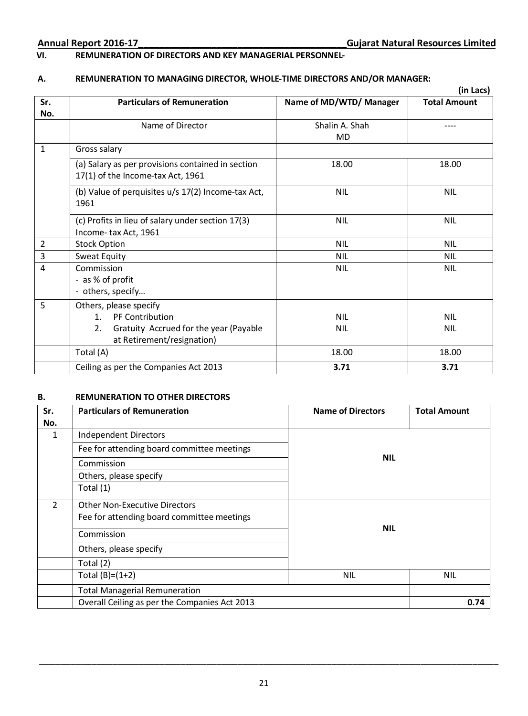## **VI. REMUNERATION OF DIRECTORS AND KEY MANAGERIAL PERSONNEL-**

## **A. REMUNERATION TO MANAGING DIRECTOR, WHOLE-TIME DIRECTORS AND/OR MANAGER:**

|                         |                                                    |                         | (in Lacs)           |
|-------------------------|----------------------------------------------------|-------------------------|---------------------|
| Sr.                     | <b>Particulars of Remuneration</b>                 | Name of MD/WTD/ Manager | <b>Total Amount</b> |
| No.                     |                                                    |                         |                     |
|                         | Name of Director                                   | Shalin A. Shah          |                     |
|                         |                                                    | MD                      |                     |
| $\mathbf{1}$            | Gross salary                                       |                         |                     |
|                         | (a) Salary as per provisions contained in section  | 18.00                   | 18.00               |
|                         | 17(1) of the Income-tax Act, 1961                  |                         |                     |
|                         | (b) Value of perquisites u/s 17(2) Income-tax Act, | <b>NIL</b>              | <b>NIL</b>          |
|                         | 1961                                               |                         |                     |
|                         | (c) Profits in lieu of salary under section 17(3)  | <b>NIL</b>              | <b>NIL</b>          |
|                         | Income-tax Act, 1961                               |                         |                     |
| $\overline{2}$          | <b>Stock Option</b>                                | <b>NIL</b>              | <b>NIL</b>          |
| $\overline{\mathbf{3}}$ | Sweat Equity                                       | <b>NIL</b>              | <b>NIL</b>          |
| 4                       | Commission                                         | <b>NIL</b>              | <b>NIL</b>          |
|                         | - as % of profit                                   |                         |                     |
|                         | - others, specify                                  |                         |                     |
| 5                       | Others, please specify                             |                         |                     |
|                         | PF Contribution<br>1 <sup>1</sup>                  | <b>NIL</b>              | <b>NIL</b>          |
|                         | Gratuity Accrued for the year (Payable<br>2.       | <b>NIL</b>              | <b>NIL</b>          |
|                         | at Retirement/resignation)                         |                         |                     |
|                         | Total (A)                                          | 18.00                   | 18.00               |
|                         | Ceiling as per the Companies Act 2013              | 3.71                    | 3.71                |

### **B. REMUNERATION TO OTHER DIRECTORS**

| Sr.           | <b>Particulars of Remuneration</b>            | <b>Name of Directors</b><br><b>Total Amount</b> |            |  |
|---------------|-----------------------------------------------|-------------------------------------------------|------------|--|
| No.           |                                               |                                                 |            |  |
| 1             | Independent Directors                         |                                                 |            |  |
|               | Fee for attending board committee meetings    |                                                 |            |  |
|               | Commission                                    | <b>NIL</b>                                      |            |  |
|               | Others, please specify                        |                                                 |            |  |
|               | Total (1)                                     |                                                 |            |  |
| $\mathcal{P}$ | <b>Other Non-Executive Directors</b>          |                                                 |            |  |
|               | Fee for attending board committee meetings    |                                                 |            |  |
|               | Commission                                    | <b>NIL</b>                                      |            |  |
|               | Others, please specify                        |                                                 |            |  |
|               | Total (2)                                     |                                                 |            |  |
|               | Total $(B)=(1+2)$<br><b>NIL</b>               |                                                 | <b>NIL</b> |  |
|               | <b>Total Managerial Remuneration</b>          |                                                 |            |  |
|               | Overall Ceiling as per the Companies Act 2013 |                                                 |            |  |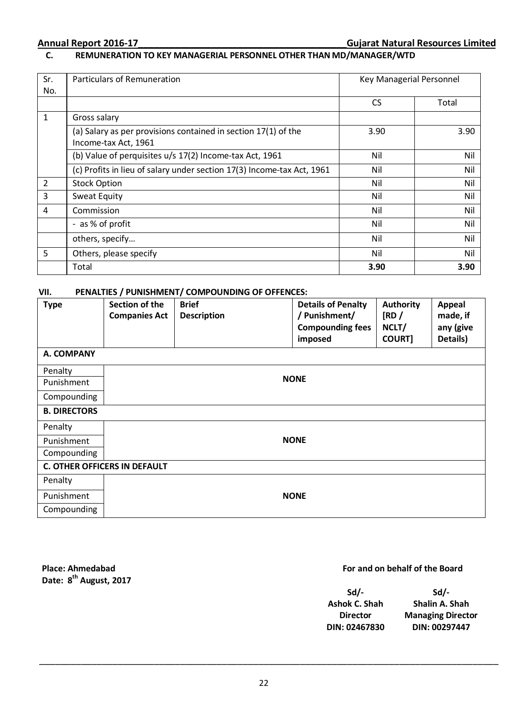## **C. REMUNERATION TO KEY MANAGERIAL PERSONNEL OTHER THAN MD/MANAGER/WTD**

| Sr.            | Particulars of Remuneration                                            | Key Managerial Personnel |       |
|----------------|------------------------------------------------------------------------|--------------------------|-------|
| No.            |                                                                        |                          |       |
|                |                                                                        | <b>CS</b>                | Total |
| 1              | Gross salary                                                           |                          |       |
|                | (a) Salary as per provisions contained in section 17(1) of the         | 3.90                     | 3.90  |
|                | Income-tax Act, 1961                                                   |                          |       |
|                | (b) Value of perquisites u/s 17(2) Income-tax Act, 1961                | Nil                      | Nil   |
|                | (c) Profits in lieu of salary under section 17(3) Income-tax Act, 1961 | Nil                      | Nil   |
| $\overline{2}$ | <b>Stock Option</b>                                                    | Nil                      | Nil   |
| 3              | Sweat Equity                                                           | Nil                      | Nil   |
| 4              | Commission                                                             | Nil                      | Nil   |
|                | - as % of profit                                                       | Nil                      | Nil   |
|                | others, specify                                                        | Nil                      | Nil   |
| 5              | Others, please specify                                                 | Nil                      | Nil   |
|                | Total                                                                  | 3.90                     | 3.90  |

### **VII. PENALTIES / PUNISHMENT/ COMPOUNDING OF OFFENCES:**

| <b>Type</b>         | Section of the<br><b>Companies Act</b> | <b>Brief</b><br><b>Description</b> | <b>Details of Penalty</b><br>/ Punishment/<br><b>Compounding fees</b><br>imposed | <b>Authority</b><br>[RD/<br>NCLT/<br><b>COURT1</b> | Appeal<br>made, if<br>any (give<br>Details) |  |
|---------------------|----------------------------------------|------------------------------------|----------------------------------------------------------------------------------|----------------------------------------------------|---------------------------------------------|--|
| A. COMPANY          |                                        |                                    |                                                                                  |                                                    |                                             |  |
| Penalty             |                                        |                                    |                                                                                  |                                                    |                                             |  |
| Punishment          |                                        |                                    | <b>NONE</b>                                                                      |                                                    |                                             |  |
| Compounding         |                                        |                                    |                                                                                  |                                                    |                                             |  |
| <b>B. DIRECTORS</b> |                                        |                                    |                                                                                  |                                                    |                                             |  |
| Penalty             |                                        |                                    |                                                                                  |                                                    |                                             |  |
| Punishment          |                                        |                                    | <b>NONE</b>                                                                      |                                                    |                                             |  |
| Compounding         |                                        |                                    |                                                                                  |                                                    |                                             |  |
|                     | <b>C. OTHER OFFICERS IN DEFAULT</b>    |                                    |                                                                                  |                                                    |                                             |  |
| Penalty             |                                        |                                    |                                                                                  |                                                    |                                             |  |
| Punishment          | <b>NONE</b>                            |                                    |                                                                                  |                                                    |                                             |  |
| Compounding         |                                        |                                    |                                                                                  |                                                    |                                             |  |

**Place: Ahmedabad Date: 8th August, 2017**

## **For and on behalf of the Board**

| Sd/-            | $Sd/-$                   |
|-----------------|--------------------------|
| Ashok C. Shah   | Shalin A. Shah           |
| <b>Director</b> | <b>Managing Director</b> |
| DIN: 02467830   | DIN: 00297447            |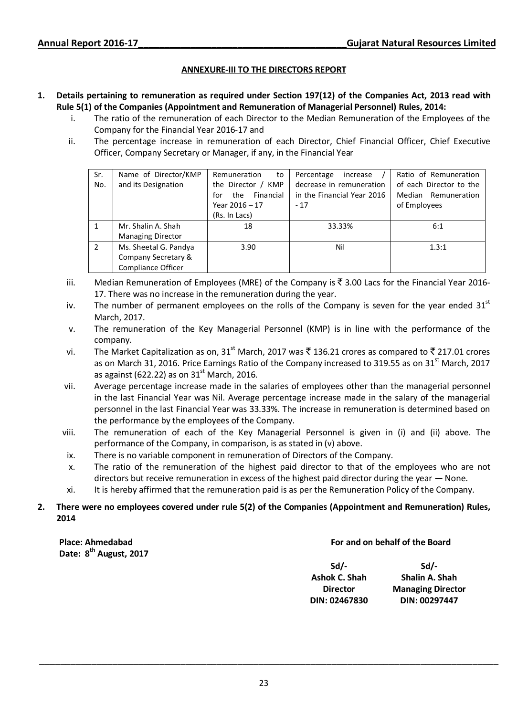### **ANNEXURE-III TO THE DIRECTORS REPORT**

### **1. Details pertaining to remuneration as required under Section 197(12) of the Companies Act, 2013 read with Rule 5(1) of the Companies (Appointment and Remuneration of Managerial Personnel) Rules, 2014:**

- i. The ratio of the remuneration of each Director to the Median Remuneration of the Employees of the Company for the Financial Year 2016-17 and
- ii. The percentage increase in remuneration of each Director, Chief Financial Officer, Chief Executive Officer, Company Secretary or Manager, if any, in the Financial Year

| Sr.            | Name of Director/KMP      | Remuneration<br>to      | Percentage<br>increase     | Ratio of Remuneration   |
|----------------|---------------------------|-------------------------|----------------------------|-------------------------|
| No.            | and its Designation       | the Director / KMP      | decrease in remuneration   | of each Director to the |
|                |                           | Financial<br>the<br>for | in the Financial Year 2016 | Median Remuneration     |
|                |                           | Year $2016 - 17$        | $-17$                      | of Employees            |
|                |                           | (Rs. In Lacs)           |                            |                         |
| 1              | Mr. Shalin A. Shah        | 18                      | 33.33%                     | 6:1                     |
|                | <b>Managing Director</b>  |                         |                            |                         |
| $\overline{2}$ | Ms. Sheetal G. Pandya     | 3.90                    | Nil                        | 1.3:1                   |
|                | Company Secretary &       |                         |                            |                         |
|                | <b>Compliance Officer</b> |                         |                            |                         |

- iii. Median Remuneration of Employees (MRE) of the Company is  $\bar{\tau}$  3.00 Lacs for the Financial Year 2016-17. There was no increase in the remuneration during the year.
- iv. The number of permanent employees on the rolls of the Company is seven for the year ended  $31<sup>st</sup>$ March, 2017.
- v. The remuneration of the Key Managerial Personnel (KMP) is in line with the performance of the company.
- vi. The Market Capitalization as on, 31<sup>st</sup> March, 2017 was  $\bar{\mathfrak{c}}$  136.21 crores as compared to  $\bar{\mathfrak{c}}$  217.01 crores as on March 31, 2016. Price Earnings Ratio of the Company increased to 319.55 as on 31<sup>st</sup> March, 2017 as against (622.22) as on  $31<sup>st</sup>$  March, 2016.
- vii. Average percentage increase made in the salaries of employees other than the managerial personnel in the last Financial Year was Nil. Average percentage increase made in the salary of the managerial personnel in the last Financial Year was 33.33%. The increase in remuneration is determined based on the performance by the employees of the Company.
- viii. The remuneration of each of the Key Managerial Personnel is given in (i) and (ii) above. The performance of the Company, in comparison, is as stated in (v) above.
	- ix. There is no variable component in remuneration of Directors of the Company.
	- x. The ratio of the remuneration of the highest paid director to that of the employees who are not directors but receive remuneration in excess of the highest paid director during the year — None.
	- xi. It is hereby affirmed that the remuneration paid is as per the Remuneration Policy of the Company.

### **2. There were no employees covered under rule 5(2) of the Companies (Appointment and Remuneration) Rules, 2014**

**Place: Ahmedabad Date: 8th August, 2017**

### **For and on behalf of the Board**

| $Sd/-$          | $Sd/-$                   |
|-----------------|--------------------------|
| Ashok C. Shah   | Shalin A. Shah           |
| <b>Director</b> | <b>Managing Director</b> |
| DIN: 02467830   | DIN: 00297447            |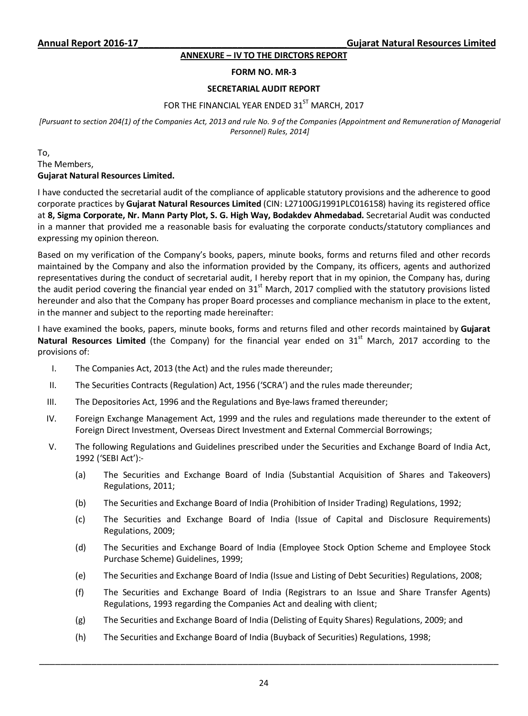### **ANNEXURE – IV TO THE DIRCTORS REPORT**

### **FORM NO. MR-3**

### **SECRETARIAL AUDIT REPORT**

## FOR THE FINANCIAL YEAR ENDED 31<sup>ST</sup> MARCH, 2017

*[Pursuant to section 204(1) of the Companies Act, 2013 and rule No. 9 of the Companies (Appointment and Remuneration of Managerial Personnel) Rules, 2014]* 

To, The Members, **Gujarat Natural Resources Limited.** 

I have conducted the secretarial audit of the compliance of applicable statutory provisions and the adherence to good corporate practices by **Gujarat Natural Resources Limited** (CIN: L27100GJ1991PLC016158) having its registered office at **8, Sigma Corporate, Nr. Mann Party Plot, S. G. High Way, Bodakdev Ahmedabad.** Secretarial Audit was conducted in a manner that provided me a reasonable basis for evaluating the corporate conducts/statutory compliances and expressing my opinion thereon.

Based on my verification of the Company's books, papers, minute books, forms and returns filed and other records maintained by the Company and also the information provided by the Company, its officers, agents and authorized representatives during the conduct of secretarial audit, I hereby report that in my opinion, the Company has, during the audit period covering the financial year ended on  $31<sup>st</sup>$  March, 2017 complied with the statutory provisions listed hereunder and also that the Company has proper Board processes and compliance mechanism in place to the extent, in the manner and subject to the reporting made hereinafter:

I have examined the books, papers, minute books, forms and returns filed and other records maintained by **Gujarat**  Natural Resources Limited (the Company) for the financial year ended on 31<sup>st</sup> March, 2017 according to the provisions of:

- I. The Companies Act, 2013 (the Act) and the rules made thereunder;
- II. The Securities Contracts (Regulation) Act, 1956 ('SCRA') and the rules made thereunder;
- III. The Depositories Act, 1996 and the Regulations and Bye-laws framed thereunder;
- IV. Foreign Exchange Management Act, 1999 and the rules and regulations made thereunder to the extent of Foreign Direct Investment, Overseas Direct Investment and External Commercial Borrowings;
- V. The following Regulations and Guidelines prescribed under the Securities and Exchange Board of India Act, 1992 ('SEBI Act'):-
	- (a) The Securities and Exchange Board of India (Substantial Acquisition of Shares and Takeovers) Regulations, 2011;
	- (b) The Securities and Exchange Board of India (Prohibition of Insider Trading) Regulations, 1992;
	- (c) The Securities and Exchange Board of India (Issue of Capital and Disclosure Requirements) Regulations, 2009;
	- (d) The Securities and Exchange Board of India (Employee Stock Option Scheme and Employee Stock Purchase Scheme) Guidelines, 1999;
	- (e) The Securities and Exchange Board of India (Issue and Listing of Debt Securities) Regulations, 2008;
	- (f) The Securities and Exchange Board of India (Registrars to an Issue and Share Transfer Agents) Regulations, 1993 regarding the Companies Act and dealing with client;
	- (g) The Securities and Exchange Board of India (Delisting of Equity Shares) Regulations, 2009; and

\_\_\_\_\_\_\_\_\_\_\_\_\_\_\_\_\_\_\_\_\_\_\_\_\_\_\_\_\_\_\_\_\_\_\_\_\_\_\_\_\_\_\_\_\_\_\_\_\_\_\_\_\_\_\_\_\_\_\_\_\_\_\_\_\_\_\_\_\_\_\_\_\_\_\_\_\_\_\_\_\_\_\_\_\_\_\_\_

(h) The Securities and Exchange Board of India (Buyback of Securities) Regulations, 1998;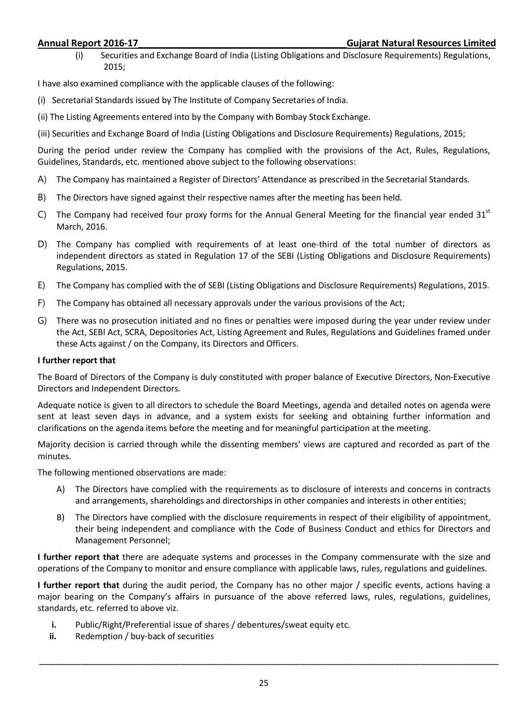(i) Securities and Exchange Board of India (Listing Obligations and Disclosure Requirements) Regulations, 2015;

I have also examined compliance with the applicable clauses of the following:

- (i) Secretarial Standards issued by The Institute of Company Secretaries of India.
- (ii) The Listing Agreements entered into by the Company with Bombay Stock Exchange.
- (iii) Securities and Exchange Board of India (Listing Obligations and Disclosure Requirements) Regulations, 2015;

During the period under review the Company has complied with the provisions of the Act, Rules, Regulations, Guidelines, Standards, etc. mentioned above subject to the following observations:

- A) The Company has maintained a Register of Directors' Attendance as prescribed in the Secretarial Standards.
- B) The Directors have signed against their respective names after the meeting has been held.
- C) The Company had received four proxy forms for the Annual General Meeting for the financial year ended  $31<sup>st</sup>$ March, 2016.
- D) The Company has complied with requirements of at least one-third of the total number of directors as independent directors as stated in Regulation 17 of the SEBI (Listing Obligations and Disclosure Requirements) Regulations, 2015.
- E) The Company has complied with the of SEBI (Listing Obligations and Disclosure Requirements) Regulations, 2015.
- F) The Company has obtained all necessary approvals under the various provisions of the Act;
- G) There was no prosecution initiated and no fines or penalties were imposed during the year under review under the Act, SEBI Act, SCRA, Depositories Act, Listing Agreement and Rules, Regulations and Guidelines framed under these Acts against / on the Company, its Directors and Officers.

### **I further report that**

The Board of Directors of the Company is duly constituted with proper balance of Executive Directors, Non-Executive Directors and Independent Directors.

Adequate notice is given to all directors to schedule the Board Meetings, agenda and detailed notes on agenda were sent at least seven days in advance, and a system exists for seeking and obtaining further information and clarifications on the agenda items before the meeting and for meaningful participation at the meeting.

Majority decision is carried through while the dissenting members' views are captured and recorded as part of the minutes.

The following mentioned observations are made:

- A) The Directors have complied with the requirements as to disclosure of interests and concerns in contracts and arrangements, shareholdings and directorships in other companies and interests in other entities;
- B) The Directors have complied with the disclosure requirements in respect of their eligibility of appointment, their being independent and compliance with the Code of Business Conduct and ethics for Directors and Management Personnel;

**I further report that** there are adequate systems and processes in the Company commensurate with the size and operations of the Company to monitor and ensure compliance with applicable laws, rules, regulations and guidelines.

**I further report that** during the audit period, the Company has no other major / specific events, actions having a major bearing on the Company's affairs in pursuance of the above referred laws, rules, regulations, guidelines, standards, etc. referred to above viz.

- **i.** Public/Right/Preferential issue of shares / debentures/sweat equity etc.<br>**ii.** Redemntion / buy-back of securities
- **ii.** Redemption / buy-back of securities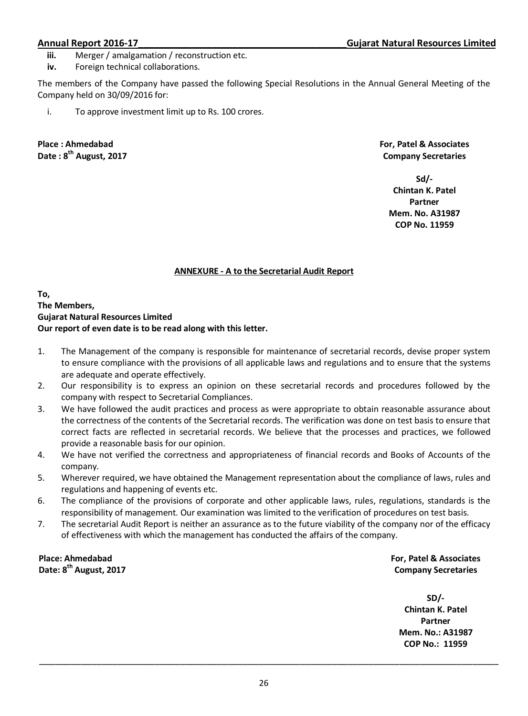- **iii.** Merger / amalgamation / reconstruction etc.
- **iv.** Foreign technical collaborations.

The members of the Company have passed the following Special Resolutions in the Annual General Meeting of the Company held on 30/09/2016 for:

i. To approve investment limit up to Rs. 100 crores.

**Place : Ahmedabad Date : 8th August, 2017**  **For, Patel & Associates Company Secretaries** 

**Sd/- Chintan K. Patel Partner Mem. No. A31987 COP No. 11959** 

### **ANNEXURE - A to the Secretarial Audit Report**

**To, The Members, Gujarat Natural Resources Limited Our report of even date is to be read along with this letter.** 

- 1. The Management of the company is responsible for maintenance of secretarial records, devise proper system to ensure compliance with the provisions of all applicable laws and regulations and to ensure that the systems are adequate and operate effectively.
- 2. Our responsibility is to express an opinion on these secretarial records and procedures followed by the company with respect to Secretarial Compliances.
- 3. We have followed the audit practices and process as were appropriate to obtain reasonable assurance about the correctness of the contents of the Secretarial records. The verification was done on test basis to ensure that correct facts are reflected in secretarial records. We believe that the processes and practices, we followed provide a reasonable basis for our opinion.
- 4. We have not verified the correctness and appropriateness of financial records and Books of Accounts of the company.
- 5. Wherever required, we have obtained the Management representation about the compliance of laws, rules and regulations and happening of events etc.
- 6. The compliance of the provisions of corporate and other applicable laws, rules, regulations, standards is the responsibility of management. Our examination was limited to the verification of procedures on test basis.
- 7. The secretarial Audit Report is neither an assurance as to the future viability of the company nor of the efficacy of effectiveness with which the management has conducted the affairs of the company.

**Place: Ahmedabad Date: 8th August, 2017** **For, Patel & Associates Company Secretaries** 

**SD/- Chintan K. Patel Partner Mem. No.: A31987 COP No.: 11959**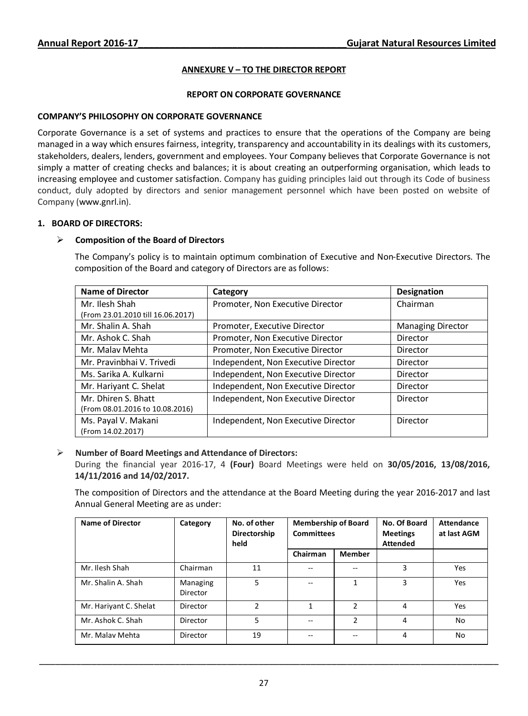### **ANNEXURE V – TO THE DIRECTOR REPORT**

### **REPORT ON CORPORATE GOVERNANCE**

### **COMPANY'S PHILOSOPHY ON CORPORATE GOVERNANCE**

Corporate Governance is a set of systems and practices to ensure that the operations of the Company are being managed in a way which ensures fairness, integrity, transparency and accountability in its dealings with its customers, stakeholders, dealers, lenders, government and employees. Your Company believes that Corporate Governance is not simply a matter of creating checks and balances; it is about creating an outperforming organisation, which leads to increasing employee and customer satisfaction. Company has guiding principles laid out through its Code of business conduct, duly adopted by directors and senior management personnel which have been posted on website of Company (www.gnrl.in).

### **1. BOARD OF DIRECTORS:**

### **Composition of the Board of Directors**

The Company's policy is to maintain optimum combination of Executive and Non-Executive Directors. The composition of the Board and category of Directors are as follows:

| <b>Name of Director</b>           | Category                            | <b>Designation</b>       |
|-----------------------------------|-------------------------------------|--------------------------|
| Mr. Ilesh Shah                    | Promoter, Non Executive Director    | Chairman                 |
| (From 23.01.2010 till 16.06.2017) |                                     |                          |
| Mr. Shalin A. Shah                | Promoter, Executive Director        | <b>Managing Director</b> |
| Mr. Ashok C. Shah                 | Promoter, Non Executive Director    | Director                 |
| Mr. Malay Mehta                   | Promoter, Non Executive Director    | Director                 |
| Mr. Pravinbhai V. Trivedi         | Independent, Non Executive Director | Director                 |
| Ms. Sarika A. Kulkarni            | Independent, Non Executive Director | Director                 |
| Mr. Hariyant C. Shelat            | Independent, Non Executive Director | Director                 |
| Mr. Dhiren S. Bhatt               | Independent, Non Executive Director | Director                 |
| (From 08.01.2016 to 10.08.2016)   |                                     |                          |
| Ms. Payal V. Makani               | Independent, Non Executive Director | Director                 |
| (From 14.02.2017)                 |                                     |                          |

### **Number of Board Meetings and Attendance of Directors:**

During the financial year 2016-17, 4 **(Four)** Board Meetings were held on **30/05/2016, 13/08/2016, 14/11/2016 and 14/02/2017.** 

The composition of Directors and the attendance at the Board Meeting during the year 2016-2017 and last Annual General Meeting are as under:

| <b>Name of Director</b> | Category             | No. of other<br>Directorship<br>held | <b>Membership of Board</b><br><b>Committees</b> |               | No. Of Board<br><b>Meetings</b><br><b>Attended</b> | <b>Attendance</b><br>at last AGM |
|-------------------------|----------------------|--------------------------------------|-------------------------------------------------|---------------|----------------------------------------------------|----------------------------------|
|                         |                      |                                      | Chairman                                        | <b>Member</b> |                                                    |                                  |
| Mr. Ilesh Shah          | Chairman             | 11                                   | --                                              | --            | 3                                                  | Yes                              |
| Mr. Shalin A. Shah      | Managing<br>Director | 5                                    | --                                              |               | ς                                                  | Yes                              |
| Mr. Hariyant C. Shelat  | Director             | $\mathcal{P}$                        | 1                                               | $\mathcal{P}$ | 4                                                  | Yes                              |
| Mr. Ashok C. Shah       | Director             | 5                                    | --                                              | $\mathcal{P}$ | 4                                                  | <b>No</b>                        |
| Mr. Malay Mehta         | Director             | 19                                   |                                                 |               | 4                                                  | No                               |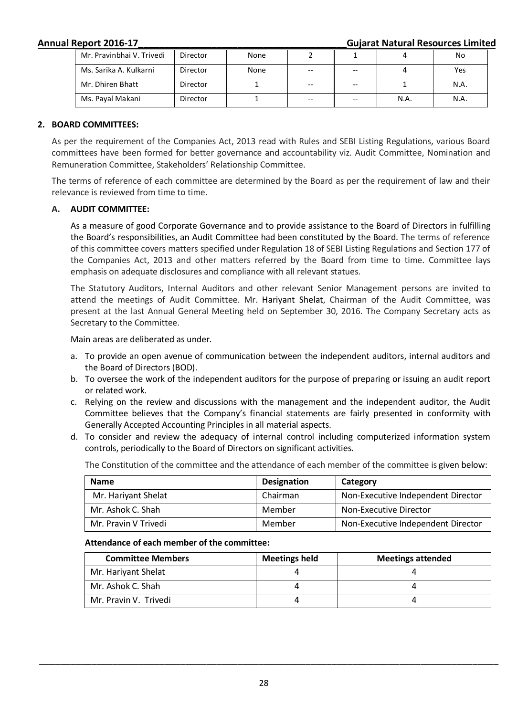**Annual Report 2016-17\_\_\_\_\_\_\_\_\_\_\_\_\_\_\_\_\_\_\_\_\_\_\_\_\_\_\_\_\_\_\_\_\_\_\_\_\_\_\_\_Gujarat Natural Resources Limited**

| Mr. Pravinbhai V. Trivedi | Director | None |                          |     |      | No   |
|---------------------------|----------|------|--------------------------|-----|------|------|
| Ms. Sarika A. Kulkarni    | Director | None | $\overline{\phantom{m}}$ | $-$ |      | Yes  |
| Mr. Dhiren Bhatt          | Director |      | $\overline{\phantom{m}}$ | $-$ |      | N.A. |
| Ms. Payal Makani          | Director |      | $-$                      | --  | N.A. | N.A. |

### **2. BOARD COMMITTEES:**

As per the requirement of the Companies Act, 2013 read with Rules and SEBI Listing Regulations, various Board committees have been formed for better governance and accountability viz. Audit Committee, Nomination and Remuneration Committee, Stakeholders' Relationship Committee.

The terms of reference of each committee are determined by the Board as per the requirement of law and their relevance is reviewed from time to time.

### **A. AUDIT COMMITTEE:**

As a measure of good Corporate Governance and to provide assistance to the Board of Directors in fulfilling the Board's responsibilities, an Audit Committee had been constituted by the Board. The terms of reference of this committee covers matters specified under Regulation 18 of SEBI Listing Regulations and Section 177 of the Companies Act, 2013 and other matters referred by the Board from time to time. Committee lays emphasis on adequate disclosures and compliance with all relevant statues.

The Statutory Auditors, Internal Auditors and other relevant Senior Management persons are invited to attend the meetings of Audit Committee. Mr. Hariyant Shelat, Chairman of the Audit Committee, was present at the last Annual General Meeting held on September 30, 2016. The Company Secretary acts as Secretary to the Committee.

Main areas are deliberated as under.

- a. To provide an open avenue of communication between the independent auditors, internal auditors and the Board of Directors (BOD).
- b. To oversee the work of the independent auditors for the purpose of preparing or issuing an audit report or related work.
- c. Relying on the review and discussions with the management and the independent auditor, the Audit Committee believes that the Company's financial statements are fairly presented in conformity with Generally Accepted Accounting Principles in all material aspects.
- d. To consider and review the adequacy of internal control including computerized information system controls, periodically to the Board of Directors on significant activities.

The Constitution of the committee and the attendance of each member of the committee is given below:

| <b>Name</b>          | <b>Designation</b> | Category                           |
|----------------------|--------------------|------------------------------------|
| Mr. Hariyant Shelat  | Chairman           | Non-Executive Independent Director |
| Mr. Ashok C. Shah    | Member             | Non-Executive Director             |
| Mr. Pravin V Trivedi | Member             | Non-Executive Independent Director |

### **Attendance of each member of the committee:**

| <b>Committee Members</b> | <b>Meetings held</b> | <b>Meetings attended</b> |
|--------------------------|----------------------|--------------------------|
| Mr. Hariyant Shelat      |                      |                          |
| Mr. Ashok C. Shah        |                      |                          |
| Mr. Pravin V. Trivedi    |                      |                          |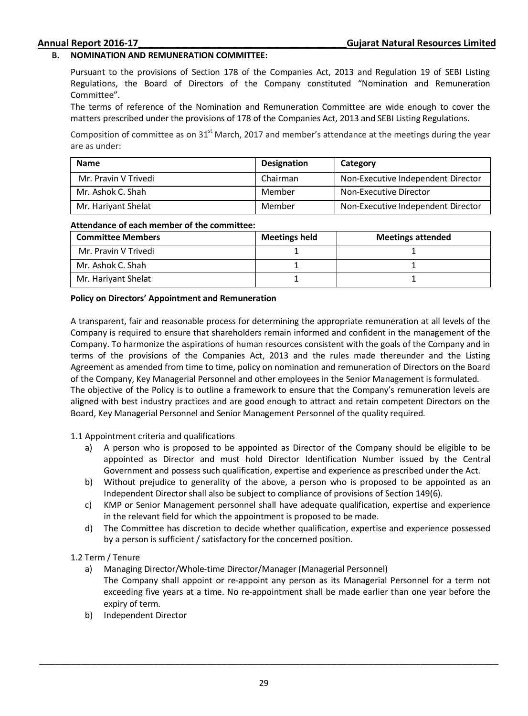### **B. NOMINATION AND REMUNERATION COMMITTEE:**

Pursuant to the provisions of Section 178 of the Companies Act, 2013 and Regulation 19 of SEBI Listing Regulations, the Board of Directors of the Company constituted "Nomination and Remuneration Committee".

The terms of reference of the Nomination and Remuneration Committee are wide enough to cover the matters prescribed under the provisions of 178 of the Companies Act, 2013 and SEBI Listing Regulations.

Composition of committee as on  $31<sup>st</sup>$  March, 2017 and member's attendance at the meetings during the year are as under:

| <b>Name</b>          | Designation | Category                           |
|----------------------|-------------|------------------------------------|
| Mr. Pravin V Trivedi | Chairman    | Non-Executive Independent Director |
| Mr. Ashok C. Shah    | Member      | Non-Executive Director             |
| Mr. Hariyant Shelat  | Member      | Non-Executive Independent Director |

### **Attendance of each member of the committee:**

| <b>Committee Members</b> | <b>Meetings held</b> | <b>Meetings attended</b> |
|--------------------------|----------------------|--------------------------|
| Mr. Pravin V Trivedi     |                      |                          |
| Mr. Ashok C. Shah        |                      |                          |
| Mr. Hariyant Shelat      |                      |                          |

### **Policy on Directors' Appointment and Remuneration**

A transparent, fair and reasonable process for determining the appropriate remuneration at all levels of the Company is required to ensure that shareholders remain informed and confident in the management of the Company. To harmonize the aspirations of human resources consistent with the goals of the Company and in terms of the provisions of the Companies Act, 2013 and the rules made thereunder and the Listing Agreement as amended from time to time, policy on nomination and remuneration of Directors on the Board of the Company, Key Managerial Personnel and other employees in the Senior Management is formulated. The objective of the Policy is to outline a framework to ensure that the Company's remuneration levels are aligned with best industry practices and are good enough to attract and retain competent Directors on the Board, Key Managerial Personnel and Senior Management Personnel of the quality required.

1.1 Appointment criteria and qualifications

- a) A person who is proposed to be appointed as Director of the Company should be eligible to be appointed as Director and must hold Director Identification Number issued by the Central Government and possess such qualification, expertise and experience as prescribed under the Act.
- b) Without prejudice to generality of the above, a person who is proposed to be appointed as an Independent Director shall also be subject to compliance of provisions of Section 149(6).
- c) KMP or Senior Management personnel shall have adequate qualification, expertise and experience in the relevant field for which the appointment is proposed to be made.
- d) The Committee has discretion to decide whether qualification, expertise and experience possessed by a person is sufficient / satisfactory for the concerned position.

### 1.2 Term / Tenure

- a) Managing Director/Whole-time Director/Manager (Managerial Personnel) The Company shall appoint or re-appoint any person as its Managerial Personnel for a term not exceeding five years at a time. No re-appointment shall be made earlier than one year before the expiry of term.
- b) Independent Director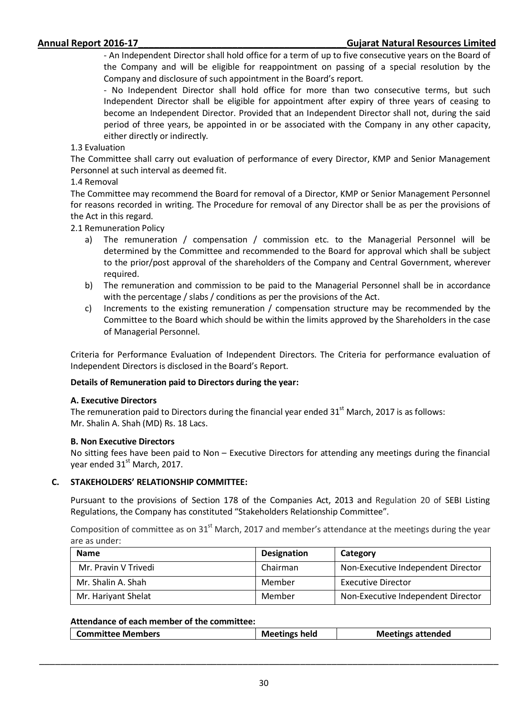- An Independent Director shall hold office for a term of up to five consecutive years on the Board of the Company and will be eligible for reappointment on passing of a special resolution by the Company and disclosure of such appointment in the Board's report.

- No Independent Director shall hold office for more than two consecutive terms, but such Independent Director shall be eligible for appointment after expiry of three years of ceasing to become an Independent Director. Provided that an Independent Director shall not, during the said period of three years, be appointed in or be associated with the Company in any other capacity, either directly or indirectly.

### 1.3 Evaluation

The Committee shall carry out evaluation of performance of every Director, KMP and Senior Management Personnel at such interval as deemed fit.

### 1.4 Removal

The Committee may recommend the Board for removal of a Director, KMP or Senior Management Personnel for reasons recorded in writing. The Procedure for removal of any Director shall be as per the provisions of the Act in this regard.

2.1 Remuneration Policy

- a) The remuneration / compensation / commission etc. to the Managerial Personnel will be determined by the Committee and recommended to the Board for approval which shall be subject to the prior/post approval of the shareholders of the Company and Central Government, wherever required.
- b) The remuneration and commission to be paid to the Managerial Personnel shall be in accordance with the percentage / slabs / conditions as per the provisions of the Act.
- c) Increments to the existing remuneration / compensation structure may be recommended by the Committee to the Board which should be within the limits approved by the Shareholders in the case of Managerial Personnel.

Criteria for Performance Evaluation of Independent Directors. The Criteria for performance evaluation of Independent Directors is disclosed in the Board's Report.

### **Details of Remuneration paid to Directors during the year:**

### **A. Executive Directors**

The remuneration paid to Directors during the financial year ended  $31<sup>st</sup>$  March, 2017 is as follows: Mr. Shalin A. Shah (MD) Rs. 18 Lacs.

### **B. Non Executive Directors**

No sitting fees have been paid to Non – Executive Directors for attending any meetings during the financial year ended 31<sup>st</sup> March, 2017.

### **C. STAKEHOLDERS' RELATIONSHIP COMMITTEE:**

Pursuant to the provisions of Section 178 of the Companies Act, 2013 and Regulation 20 of SEBI Listing Regulations, the Company has constituted "Stakeholders Relationship Committee".

Composition of committee as on 31<sup>st</sup> March, 2017 and member's attendance at the meetings during the year are as under:

| <b>Name</b>          | <b>Designation</b> | Category                           |
|----------------------|--------------------|------------------------------------|
| Mr. Pravin V Trivedi | Chairman           | Non-Executive Independent Director |
| Mr. Shalin A. Shah   | Member             | <b>Executive Director</b>          |
| Mr. Hariyant Shelat  | Member             | Non-Executive Independent Director |

### **Attendance of each member of the committee:**

| <b>Meetings held</b><br><b>Meetings attended</b><br><b>Committee Members</b> |
|------------------------------------------------------------------------------|
|------------------------------------------------------------------------------|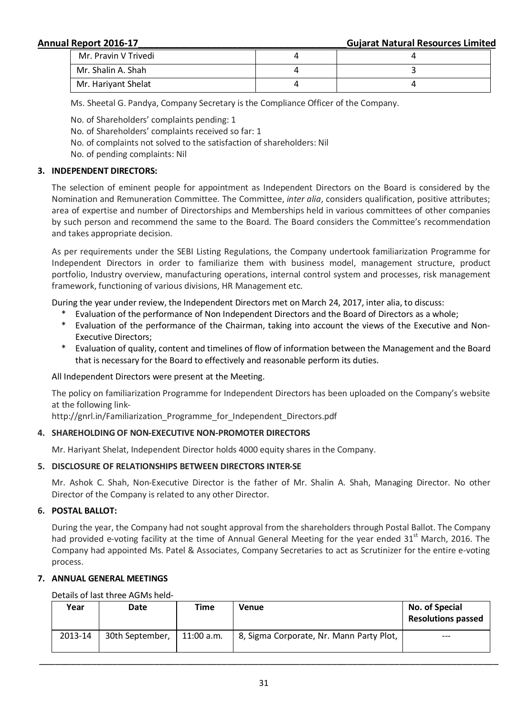**Annual Report 2016-17\_\_\_\_\_\_\_\_\_\_\_\_\_\_\_\_\_\_\_\_\_\_\_\_\_\_\_\_\_\_\_\_\_\_\_\_\_\_\_\_Gujarat Natural Resources Limited**

| Mr. Pravin V Trivedi |  |
|----------------------|--|
| Mr. Shalin A. Shah   |  |
| Mr. Hariyant Shelat  |  |

Ms. Sheetal G. Pandya, Company Secretary is the Compliance Officer of the Company.

- No. of Shareholders' complaints pending: 1
- No. of Shareholders' complaints received so far: 1
- No. of complaints not solved to the satisfaction of shareholders: Nil
- No. of pending complaints: Nil

### **3. INDEPENDENT DIRECTORS:**

The selection of eminent people for appointment as Independent Directors on the Board is considered by the Nomination and Remuneration Committee. The Committee, *inter alia*, considers qualification, positive attributes; area of expertise and number of Directorships and Memberships held in various committees of other companies by such person and recommend the same to the Board. The Board considers the Committee's recommendation and takes appropriate decision.

As per requirements under the SEBI Listing Regulations, the Company undertook familiarization Programme for Independent Directors in order to familiarize them with business model, management structure, product portfolio, Industry overview, manufacturing operations, internal control system and processes, risk management framework, functioning of various divisions, HR Management etc.

During the year under review, the Independent Directors met on March 24, 2017, inter alia, to discuss:

- Evaluation of the performance of Non Independent Directors and the Board of Directors as a whole;
- Evaluation of the performance of the Chairman, taking into account the views of the Executive and Non-Executive Directors;
- \* Evaluation of quality, content and timelines of flow of information between the Management and the Board that is necessary for the Board to effectively and reasonable perform its duties.

All Independent Directors were present at the Meeting.

The policy on familiarization Programme for Independent Directors has been uploaded on the Company's website at the following link-

http://gnrl.in/Familiarization Programme for Independent Directors.pdf

## **4. SHAREHOLDING OF NON-EXECUTIVE NON-PROMOTER DIRECTORS**

Mr. Hariyant Shelat, Independent Director holds 4000 equity shares in the Company.

### **5. DISCLOSURE OF RELATIONSHIPS BETWEEN DIRECTORS INTER-SE**

Mr. Ashok C. Shah, Non-Executive Director is the father of Mr. Shalin A. Shah, Managing Director. No other Director of the Company is related to any other Director.

### **6. POSTAL BALLOT:**

During the year, the Company had not sought approval from the shareholders through Postal Ballot. The Company had provided e-voting facility at the time of Annual General Meeting for the year ended  $31<sup>st</sup>$  March, 2016. The Company had appointed Ms. Patel & Associates, Company Secretaries to act as Scrutinizer for the entire e-voting process.

### **7. ANNUAL GENERAL MEETINGS**

### Details of last three AGMs held-

| Year    | Date            | Time         | Venue                                    | No. of Special<br><b>Resolutions passed</b> |
|---------|-----------------|--------------|------------------------------------------|---------------------------------------------|
| 2013-14 | 30th September, | $11:00$ a.m. | 8, Sigma Corporate, Nr. Mann Party Plot, | $---$                                       |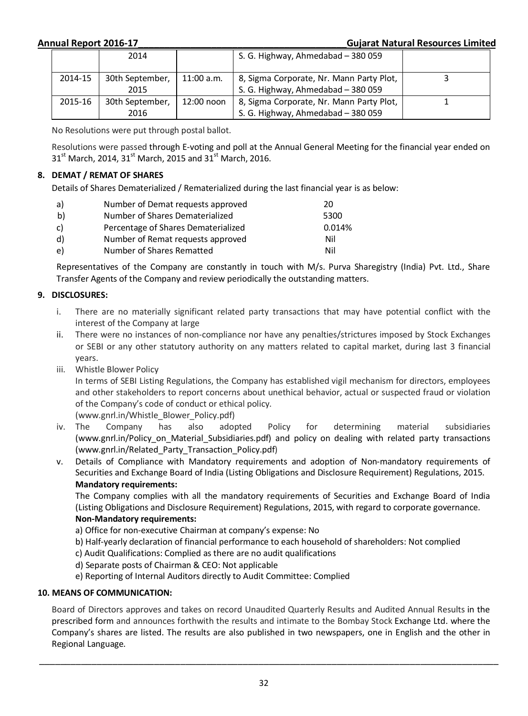### **Annual Report 2016-17\_\_\_\_\_\_\_\_\_\_\_\_\_\_\_\_\_\_\_\_\_\_\_\_\_\_\_\_\_\_\_\_\_\_\_\_\_\_\_\_Gujarat Natural Resources Limited**

|         | 2014            |              | S. G. Highway, Ahmedabad - 380 059       |  |
|---------|-----------------|--------------|------------------------------------------|--|
| 2014-15 | 30th September, | $11:00$ a.m. | 8, Sigma Corporate, Nr. Mann Party Plot, |  |
|         | 2015            |              | S. G. Highway, Ahmedabad - 380 059       |  |
| 2015-16 | 30th September, | 12:00 noon   | 8, Sigma Corporate, Nr. Mann Party Plot, |  |
|         | 2016            |              | S. G. Highway, Ahmedabad - 380 059       |  |

No Resolutions were put through postal ballot.

Resolutions were passed through E-voting and poll at the Annual General Meeting for the financial year ended on  $31<sup>st</sup>$  March, 2014, 31<sup>st</sup> March, 2015 and 31<sup>st</sup> March, 2016.

## **8. DEMAT / REMAT OF SHARES**

Details of Shares Dematerialized / Rematerialized during the last financial year is as below:

| a) | Number of Demat requests approved   | 20     |
|----|-------------------------------------|--------|
| b) | Number of Shares Dematerialized     | 5300   |
| C) | Percentage of Shares Dematerialized | 0.014% |
| d) | Number of Remat requests approved   | Nil    |
| e) | Number of Shares Rematted           | Nil    |

Representatives of the Company are constantly in touch with M/s. Purva Sharegistry (India) Pvt. Ltd., Share Transfer Agents of the Company and review periodically the outstanding matters.

## **9. DISCLOSURES:**

- i. There are no materially significant related party transactions that may have potential conflict with the interest of the Company at large
- ii. There were no instances of non-compliance nor have any penalties/strictures imposed by Stock Exchanges or SEBI or any other statutory authority on any matters related to capital market, during last 3 financial years.
- iii. Whistle Blower Policy

In terms of SEBI Listing Regulations, the Company has established vigil mechanism for directors, employees and other stakeholders to report concerns about unethical behavior, actual or suspected fraud or violation of the Company's code of conduct or ethical policy.

(www.gnrl.in/Whistle\_Blower\_Policy.pdf)

- iv. The Company has also adopted Policy for determining material subsidiaries (www.gnrl.in/Policy on Material Subsidiaries.pdf) and policy on dealing with related party transactions (www.gnrl.in/Related\_Party\_Transaction\_Policy.pdf)
- v. Details of Compliance with Mandatory requirements and adoption of Non-mandatory requirements of Securities and Exchange Board of India (Listing Obligations and Disclosure Requirement) Regulations, 2015. **Mandatory requirements:**

The Company complies with all the mandatory requirements of Securities and Exchange Board of India (Listing Obligations and Disclosure Requirement) Regulations, 2015, with regard to corporate governance.

### **Non-Mandatory requirements:**

- a) Office for non-executive Chairman at company's expense: No
- b) Half-yearly declaration of financial performance to each household of shareholders: Not complied
- c) Audit Qualifications: Complied as there are no audit qualifications
- d) Separate posts of Chairman & CEO: Not applicable
- e) Reporting of Internal Auditors directly to Audit Committee: Complied

### **10. MEANS OF COMMUNICATION:**

Board of Directors approves and takes on record Unaudited Quarterly Results and Audited Annual Results in the prescribed form and announces forthwith the results and intimate to the Bombay Stock Exchange Ltd. where the Company's shares are listed. The results are also published in two newspapers, one in English and the other in Regional Language.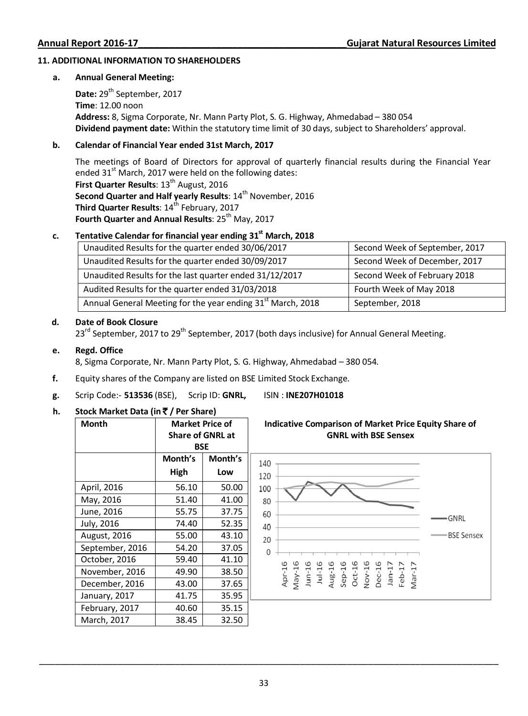### **11. ADDITIONAL INFORMATION TO SHAREHOLDERS**

### **a. Annual General Meeting:**

Date: 29<sup>th</sup> September, 2017  **Time**: 12.00 noon  **Address:** 8, Sigma Corporate, Nr. Mann Party Plot, S. G. Highway, Ahmedabad – 380 054  **Dividend payment date:** Within the statutory time limit of 30 days, subject to Shareholders' approval.

### **b. Calendar of Financial Year ended 31st March, 2017**

The meetings of Board of Directors for approval of quarterly financial results during the Financial Year ended  $31<sup>st</sup>$  March, 2017 were held on the following dates: **First Quarter Results: 13<sup>th</sup> August, 2016** Second Quarter and Half yearly Results: 14<sup>th</sup> November, 2016 **Third Quarter Results: 14<sup>th</sup> February, 2017 Fourth Quarter and Annual Results: 25<sup>th</sup> May, 2017** 

## **c. Tentative Calendar for financial year ending 31st March, 2018**

| Unaudited Results for the quarter ended 30/06/2017                      | Second Week of September, 2017 |
|-------------------------------------------------------------------------|--------------------------------|
| Unaudited Results for the quarter ended 30/09/2017                      | Second Week of December, 2017  |
| Unaudited Results for the last quarter ended 31/12/2017                 | Second Week of February 2018   |
| Audited Results for the quarter ended 31/03/2018                        | Fourth Week of May 2018        |
| Annual General Meeting for the year ending 31 <sup>st</sup> March, 2018 | September, 2018                |

### **d. Date of Book Closure**

23<sup>rd</sup> September, 2017 to 29<sup>th</sup> September, 2017 (both days inclusive) for Annual General Meeting.

### **e. Regd. Office**

8, Sigma Corporate, Nr. Mann Party Plot, S. G. Highway, Ahmedabad – 380 054.

- **f.** Equity shares of the Company are listed on BSE Limited Stock Exchange.
- **g.** Scrip Code:- **513536** (BSE), Scrip ID: **GNRL,** ISIN : **INE207H01018**

## **h. Stock Market Data (in** ` **/ Per Share)**

**Month Market Price of Indicative Comparison of Market Price Equity Share of Share of GNRL at GNRL with BSE Sensex BSE Month's Month's**  140 **High Low**  120 April, 2016 | 56.10 | 50.00 100 May, 2016 <br> 51.40 <br> 41.00 80 June, 2016 | 55.75 | 37.75 60 GNRL July, 2016 74.40 52.35 40 **BSE Sensex** August, 2016 | 55.00 | 43.10 20 September, 2016 | 54.20 | 37.05  $\Omega$ October, 2016 | 59.40 41.10 Apr-16<br>*Nav-*16<br>*Jun-16*<br>Jun-16<br>*Sep-16*<br>*Oct-16*<br>*De-17*<br>*De-17*<br>*De-17*<br>*De-17*<br>*De-17* November, 2016 49.90 38.50 December, 2016 43.00 37.65 January, 2017 | 41.75 | 35.95 February, 2017 | 40.60 | 35.15 March, 2017 | 38.45 32.50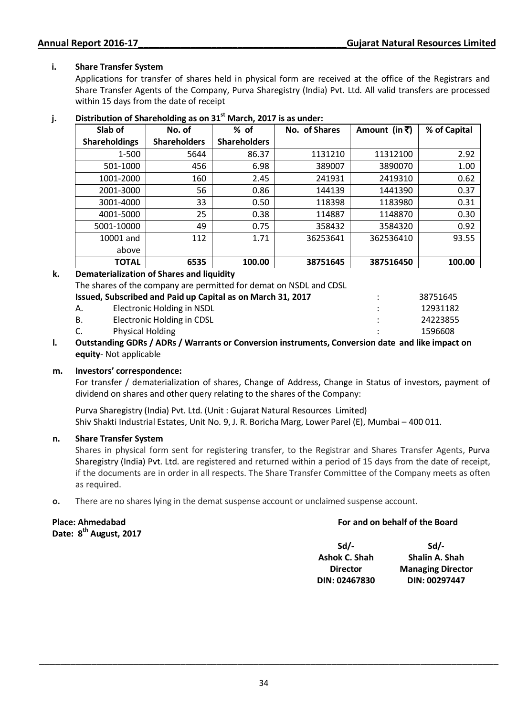## **i. Share Transfer System**

 Applications for transfer of shares held in physical form are received at the office of the Registrars and Share Transfer Agents of the Company, Purva Sharegistry (India) Pvt. Ltd. All valid transfers are processed within 15 days from the date of receipt

| Slab of              | No. of              | $%$ of              | No. of Shares | Amount (in $\bar{x}$ ) | % of Capital |
|----------------------|---------------------|---------------------|---------------|------------------------|--------------|
| <b>Shareholdings</b> | <b>Shareholders</b> | <b>Shareholders</b> |               |                        |              |
| 1-500                | 5644                | 86.37               | 1131210       | 11312100               | 2.92         |
| 501-1000             | 456                 | 6.98                | 389007        | 3890070                | 1.00         |
| 1001-2000            | 160                 | 2.45                | 241931        | 2419310                | 0.62         |
| 2001-3000            | 56                  | 0.86                | 144139        | 1441390                | 0.37         |
| 3001-4000            | 33                  | 0.50                | 118398        | 1183980                | 0.31         |
| 4001-5000            | 25                  | 0.38                | 114887        | 1148870                | 0.30         |
| 5001-10000           | 49                  | 0.75                | 358432        | 3584320                | 0.92         |
| 10001 and            | 112                 | 1.71                | 36253641      | 362536410              | 93.55        |
| above                |                     |                     |               |                        |              |
| <b>TOTAL</b>         | 6535                | 100.00              | 38751645      | 387516450              | 100.00       |

## **j. Distribution of Shareholding as on 31st March, 2017 is as under:**

## **k. Dematerialization of Shares and liquidity**

The shares of the company are permitted for demat on NSDL and CDSL

| Issued, Subscribed and Paid up Capital as on March 31, 2017 |                            |  |  | 38751645 |
|-------------------------------------------------------------|----------------------------|--|--|----------|
| А.                                                          | Electronic Holding in NSDL |  |  | 12931182 |
| В.                                                          | Electronic Holding in CDSL |  |  | 24223855 |
| C.                                                          | <b>Physical Holding</b>    |  |  | 1596608  |
|                                                             |                            |  |  |          |

**l. Outstanding GDRs / ADRs / Warrants or Conversion instruments, Conversion date and like impact on equity**- Not applicable

### **m. Investors' correspondence:**

For transfer / dematerialization of shares, Change of Address, Change in Status of investors, payment of dividend on shares and other query relating to the shares of the Company:

Purva Sharegistry (India) Pvt. Ltd. (Unit : Gujarat Natural Resources Limited) Shiv Shakti Industrial Estates, Unit No. 9, J. R. Boricha Marg, Lower Parel (E), Mumbai – 400 011.

### **n. Share Transfer System**

Shares in physical form sent for registering transfer, to the Registrar and Shares Transfer Agents, Purva Sharegistry (India) Pvt. Ltd. are registered and returned within a period of 15 days from the date of receipt, if the documents are in order in all respects. The Share Transfer Committee of the Company meets as often as required.

**o.** There are no shares lying in the demat suspense account or unclaimed suspense account.

### **Place: Ahmedabad Date: 8th August, 2017**

### **For and on behalf of the Board**

**Sd/- Ashok C. Shah Director DIN: 02467830 Sd/- Shalin A. Shah Managing Director DIN: 00297447**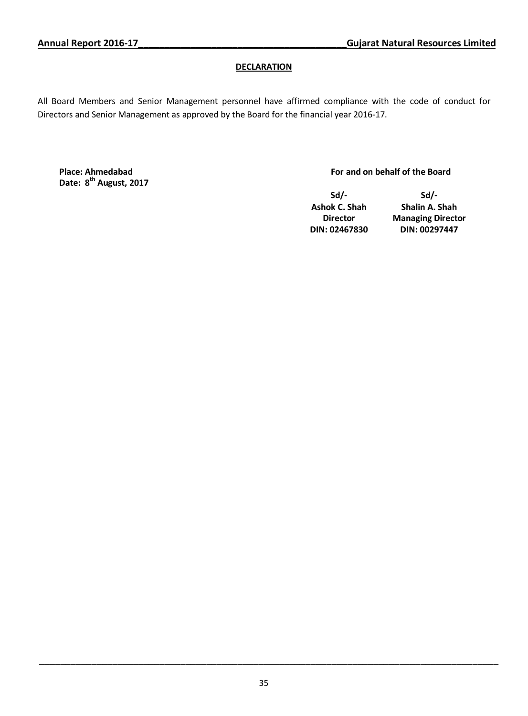## **DECLARATION**

All Board Members and Senior Management personnel have affirmed compliance with the code of conduct for Directors and Senior Management as approved by the Board for the financial year 2016-17.

**Place: Ahmedabad Date: 8th August, 2017**

### **For and on behalf of the Board**

**Sd/- Ashok C. Shah Director DIN: 02467830** 

**Sd/- Shalin A. Shah Managing Director DIN: 00297447**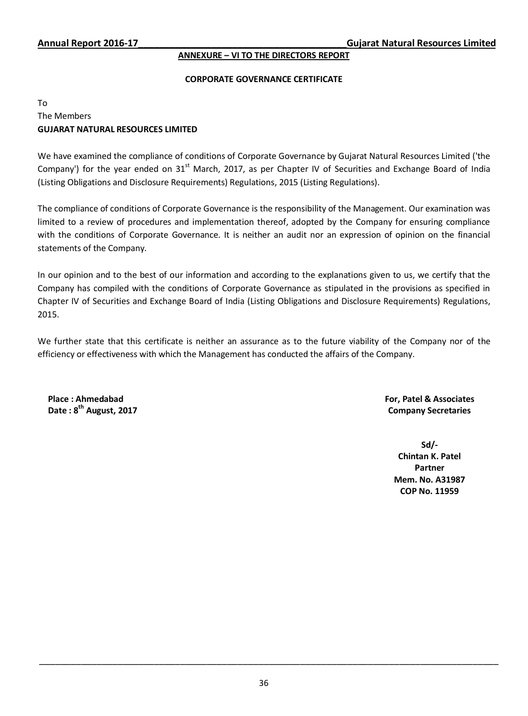### **ANNEXURE – VI TO THE DIRECTORS REPORT**

### **CORPORATE GOVERNANCE CERTIFICATE**

## To The Members **GUJARAT NATURAL RESOURCES LIMITED**

We have examined the compliance of conditions of Corporate Governance by Gujarat Natural Resources Limited ('the Company') for the year ended on  $31<sup>st</sup>$  March, 2017, as per Chapter IV of Securities and Exchange Board of India (Listing Obligations and Disclosure Requirements) Regulations, 2015 (Listing Regulations).

The compliance of conditions of Corporate Governance is the responsibility of the Management. Our examination was limited to a review of procedures and implementation thereof, adopted by the Company for ensuring compliance with the conditions of Corporate Governance. It is neither an audit nor an expression of opinion on the financial statements of the Company.

In our opinion and to the best of our information and according to the explanations given to us, we certify that the Company has compiled with the conditions of Corporate Governance as stipulated in the provisions as specified in Chapter IV of Securities and Exchange Board of India (Listing Obligations and Disclosure Requirements) Regulations, 2015.

We further state that this certificate is neither an assurance as to the future viability of the Company nor of the efficiency or effectiveness with which the Management has conducted the affairs of the Company.

**Place : Ahmedabad Date : 8th August, 2017**  **For, Patel & Associates Company Secretaries** 

> **Sd/- Chintan K. Patel Partner Mem. No. A31987 COP No. 11959**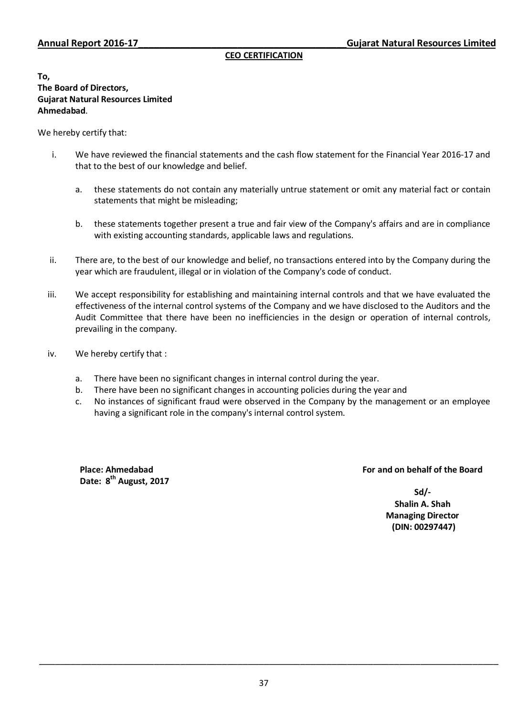### **CEO CERTIFICATION**

**To, The Board of Directors, Gujarat Natural Resources Limited Ahmedabad**.

We hereby certify that:

- i. We have reviewed the financial statements and the cash flow statement for the Financial Year 2016-17 and that to the best of our knowledge and belief.
	- a. these statements do not contain any materially untrue statement or omit any material fact or contain statements that might be misleading;
	- b. these statements together present a true and fair view of the Company's affairs and are in compliance with existing accounting standards, applicable laws and regulations.
- ii. There are, to the best of our knowledge and belief, no transactions entered into by the Company during the year which are fraudulent, illegal or in violation of the Company's code of conduct.
- iii. We accept responsibility for establishing and maintaining internal controls and that we have evaluated the effectiveness of the internal control systems of the Company and we have disclosed to the Auditors and the Audit Committee that there have been no inefficiencies in the design or operation of internal controls, prevailing in the company.
- iv. We hereby certify that :
	- a. There have been no significant changes in internal control during the year.
	- b. There have been no significant changes in accounting policies during the year and
	- c. No instances of significant fraud were observed in the Company by the management or an employee having a significant role in the company's internal control system.

**Place: Ahmedabad Date: 8th August, 2017**

## **For and on behalf of the Board**

**Sd/- Shalin A. Shah Managing Director (DIN: 00297447)**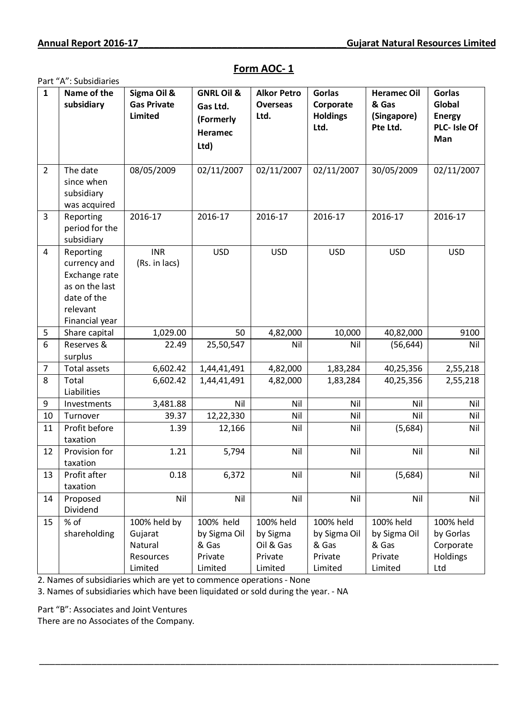### Part "A": Subsidiaries **1 Name of the subsidiary Sigma Oil & Gas Private Limited GNRL Oil & Gas Ltd. (Formerly Heramec Ltd) Alkor Petro Overseas Ltd. Gorlas Corporate Holdings Ltd. Heramec Oil & Gas (Singapore) Pte Ltd. Gorlas Global Energy PLC- Isle Of Man**  $2$  The date since when subsidiary was acquired 08/05/2009 02/11/2007 02/11/2007 02/11/2007 30/05/2009 02/11/2007 3 Reporting period for the subsidiary 2016-17 2016-17 2016-17 2016-17 2016-17 2016-17 4 Reporting currency and Exchange rate as on the last date of the relevant Financial year INR (Rs. in lacs) USD USD USD USD USD 5 Share capital 1,029.00 50 4,82,000 10,000 40,82,000 9100 6 Reserves & surplus 22.49 25,50,547 | Nil Nil Nil (56,644) | Nil 7 | Total assets 6,602.42 | 1,44,41,491 | 4,82,000 | 1,83,284 | 40,25,356 | 2,55,218 8 Total Liabilities 6,602.42 1,44,41,491 4,82,000 1,83,284 40,25,356 2,55,218 9 |Investments | 3,481.88 | Nil | Nil | Nil | Nil | Nil | 10 Turnover 39.37 12,22,330 Nil Nil Nil Nil 11 Profit before taxation 1.39 | 12,166 | Nil | Nil | (5,684) | Nil 12 Provision for taxation 1.21 | 5,794 | Nil | Nil | Nil | Nil 13 Profit after taxation 0.18 | 6,372 | Nil | Nil (5,684) | Nil 14 Proposed Dividend Nil Nil Nil Nil Nil Nil 15 % of shareholding 100% held by Gujarat Natural Resources Limited 100% held by Sigma Oil & Gas Private Limited 100% held by Sigma Oil & Gas Private Limited 100% held by Sigma Oil & Gas Private Limited 100% held by Sigma Oil & Gas Private Limited 100% held by Gorlas Corporate **Holdings** Ltd

\_\_\_\_\_\_\_\_\_\_\_\_\_\_\_\_\_\_\_\_\_\_\_\_\_\_\_\_\_\_\_\_\_\_\_\_\_\_\_\_\_\_\_\_\_\_\_\_\_\_\_\_\_\_\_\_\_\_\_\_\_\_\_\_\_\_\_\_\_\_\_\_\_\_\_\_\_\_\_\_\_\_\_\_\_\_\_\_

## **Form AOC- 1**

2. Names of subsidiaries which are yet to commence operations - None

3. Names of subsidiaries which have been liquidated or sold during the year. - NA

Part "B": Associates and Joint Ventures

There are no Associates of the Company.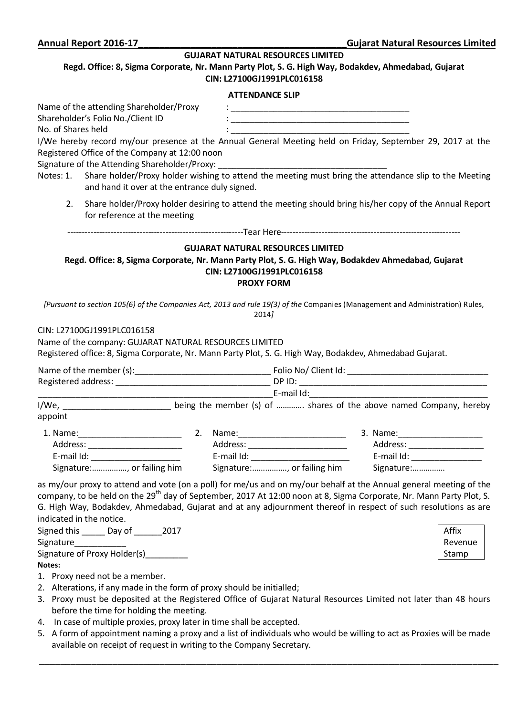### **GUJARAT NATURAL RESOURCES LIMITED**

### **Regd. Office: 8, Sigma Corporate, Nr. Mann Party Plot, S. G. High Way, Bodakdev, Ahmedabad, Gujarat CIN: L27100GJ1991PLC016158**

### **ATTENDANCE SLIP**

| No. of Shares held<br>Notes: 1. | Name of the attending Shareholder/Proxy<br>Shareholder's Folio No./Client ID<br>I/We hereby record my/our presence at the Annual General Meeting held on Friday, September 29, 2017 at the<br>Registered Office of the Company at 12:00 noon<br>Signature of the Attending Shareholder/Proxy:<br>Share holder/Proxy holder wishing to attend the meeting must bring the attendance slip to the Meeting<br>and hand it over at the entrance duly signed. |                                                          | <u> 1989 - Johann Barn, mars ann an t-Amhain ann an t-Amhain an t-Amhain an t-Amhain an t-Amhain an t-Amhain an t-</u> |                  |
|---------------------------------|---------------------------------------------------------------------------------------------------------------------------------------------------------------------------------------------------------------------------------------------------------------------------------------------------------------------------------------------------------------------------------------------------------------------------------------------------------|----------------------------------------------------------|------------------------------------------------------------------------------------------------------------------------|------------------|
| 2.                              | Share holder/Proxy holder desiring to attend the meeting should bring his/her copy of the Annual Report<br>for reference at the meeting                                                                                                                                                                                                                                                                                                                 |                                                          |                                                                                                                        |                  |
|                                 |                                                                                                                                                                                                                                                                                                                                                                                                                                                         |                                                          |                                                                                                                        |                  |
|                                 | Regd. Office: 8, Sigma Corporate, Nr. Mann Party Plot, S. G. High Way, Bodakdev Ahmedabad, Gujarat<br>[Pursuant to section 105(6) of the Companies Act, 2013 and rule 19(3) of the Companies (Management and Administration) Rules,                                                                                                                                                                                                                     | CIN: L27100GJ1991PLC016158<br><b>PROXY FORM</b><br>2014] | <b>GUJARAT NATURAL RESOURCES LIMITED</b>                                                                               |                  |
|                                 | CIN: L27100GJ1991PLC016158<br>Name of the company: GUJARAT NATURAL RESOURCES LIMITED<br>Registered office: 8, Sigma Corporate, Nr. Mann Party Plot, S. G. High Way, Bodakdev, Ahmedabad Gujarat.                                                                                                                                                                                                                                                        |                                                          |                                                                                                                        |                  |
|                                 |                                                                                                                                                                                                                                                                                                                                                                                                                                                         |                                                          |                                                                                                                        |                  |
|                                 |                                                                                                                                                                                                                                                                                                                                                                                                                                                         |                                                          |                                                                                                                        |                  |
|                                 | I/We, ____________________________being the member (s) of  shares of the above named Company, hereby                                                                                                                                                                                                                                                                                                                                                    |                                                          |                                                                                                                        |                  |
| appoint                         |                                                                                                                                                                                                                                                                                                                                                                                                                                                         |                                                          |                                                                                                                        |                  |
|                                 | Signature:, or failing him Signature:, or failing him Signature:                                                                                                                                                                                                                                                                                                                                                                                        |                                                          |                                                                                                                        |                  |
|                                 | as my/our proxy to attend and vote (on a poll) for me/us and on my/our behalf at the Annual general meeting of the<br>company, to be held on the 29 <sup>th</sup> day of September, 2017 At 12:00 noon at 8, Sigma Corporate, Nr. Mann Party Plot, S.<br>G. High Way, Bodakdev, Ahmedabad, Gujarat and at any adjournment thereof in respect of such resolutions as are<br>indicated in the notice.<br>Signed this ______ Day of ______ 2017            |                                                          |                                                                                                                        | Affix<br>Revenue |
| Notes:                          | Signature of Proxy Holder(s)_________                                                                                                                                                                                                                                                                                                                                                                                                                   |                                                          |                                                                                                                        | Stamp            |

- 1. Proxy need not be a member.
- 2. Alterations, if any made in the form of proxy should be initialled;
- 3. Proxy must be deposited at the Registered Office of Gujarat Natural Resources Limited not later than 48 hours before the time for holding the meeting.
- 4. In case of multiple proxies, proxy later in time shall be accepted.
- 5. A form of appointment naming a proxy and a list of individuals who would be willing to act as Proxies will be made available on receipt of request in writing to the Company Secretary.